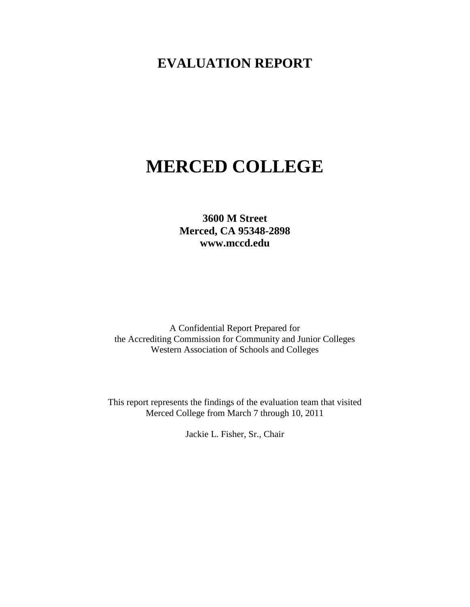# **EVALUATION REPORT**

# **MERCED COLLEGE**

**3600 M Street Merced, CA 95348-2898 www.mccd.edu**

A Confidential Report Prepared for the Accrediting Commission for Community and Junior Colleges Western Association of Schools and Colleges

This report represents the findings of the evaluation team that visited Merced College from March 7 through 10, 2011

Jackie L. Fisher, Sr., Chair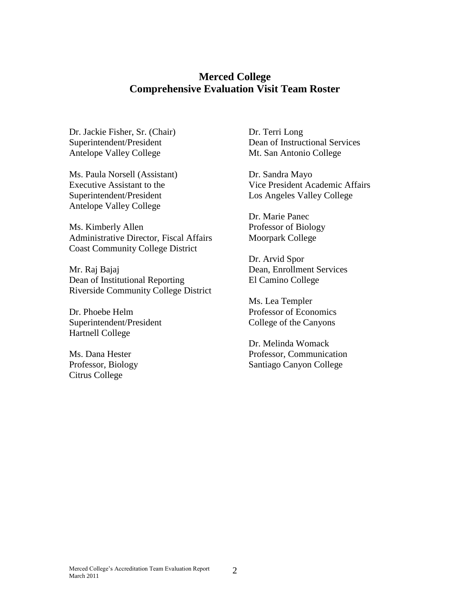#### **Merced College Comprehensive Evaluation Visit Team Roster**

Dr. Jackie Fisher, Sr. (Chair) Superintendent/President Antelope Valley College

Ms. Paula Norsell (Assistant) Executive Assistant to the Superintendent/President Antelope Valley College

Ms. Kimberly Allen Administrative Director, Fiscal Affairs Coast Community College District

Mr. Raj Bajaj Dean of Institutional Reporting Riverside Community College District

Dr. Phoebe Helm Superintendent/President Hartnell College

Ms. Dana Hester Professor, Biology Citrus College

Dr. Terri Long Dean of Instructional Services Mt. San Antonio College

Dr. Sandra Mayo Vice President Academic Affairs Los Angeles Valley College

Dr. Marie Panec Professor of Biology Moorpark College

Dr. Arvid Spor Dean, Enrollment Services El Camino College

Ms. Lea Templer Professor of Economics College of the Canyons

Dr. Melinda Womack Professor, Communication Santiago Canyon College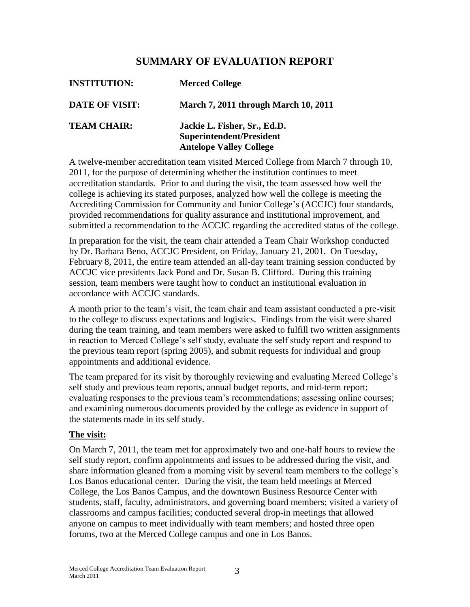## **SUMMARY OF EVALUATION REPORT**

| <b>INSTITUTION:</b>   | <b>Merced College</b>                                                                      |
|-----------------------|--------------------------------------------------------------------------------------------|
| <b>DATE OF VISIT:</b> | <b>March 7, 2011 through March 10, 2011</b>                                                |
| <b>TEAM CHAIR:</b>    | Jackie L. Fisher, Sr., Ed.D.<br>Superintendent/President<br><b>Antelope Valley College</b> |

A twelve-member accreditation team visited Merced College from March 7 through 10, 2011, for the purpose of determining whether the institution continues to meet accreditation standards. Prior to and during the visit, the team assessed how well the college is achieving its stated purposes, analyzed how well the college is meeting the Accrediting Commission for Community and Junior College's (ACCJC) four standards, provided recommendations for quality assurance and institutional improvement, and submitted a recommendation to the ACCJC regarding the accredited status of the college.

In preparation for the visit, the team chair attended a Team Chair Workshop conducted by Dr. Barbara Beno, ACCJC President, on Friday, January 21, 2001. On Tuesday, February 8, 2011, the entire team attended an all-day team training session conducted by ACCJC vice presidents Jack Pond and Dr. Susan B. Clifford. During this training session, team members were taught how to conduct an institutional evaluation in accordance with ACCJC standards.

A month prior to the team's visit, the team chair and team assistant conducted a pre-visit to the college to discuss expectations and logistics. Findings from the visit were shared during the team training, and team members were asked to fulfill two written assignments in reaction to Merced College's self study, evaluate the self study report and respond to the previous team report (spring 2005), and submit requests for individual and group appointments and additional evidence.

The team prepared for its visit by thoroughly reviewing and evaluating Merced College's self study and previous team reports, annual budget reports, and mid-term report; evaluating responses to the previous team's recommendations; assessing online courses; and examining numerous documents provided by the college as evidence in support of the statements made in its self study.

#### **The visit:**

On March 7, 2011, the team met for approximately two and one-half hours to review the self study report, confirm appointments and issues to be addressed during the visit, and share information gleaned from a morning visit by several team members to the college's Los Banos educational center. During the visit, the team held meetings at Merced College, the Los Banos Campus, and the downtown Business Resource Center with students, staff, faculty, administrators, and governing board members; visited a variety of classrooms and campus facilities; conducted several drop-in meetings that allowed anyone on campus to meet individually with team members; and hosted three open forums, two at the Merced College campus and one in Los Banos.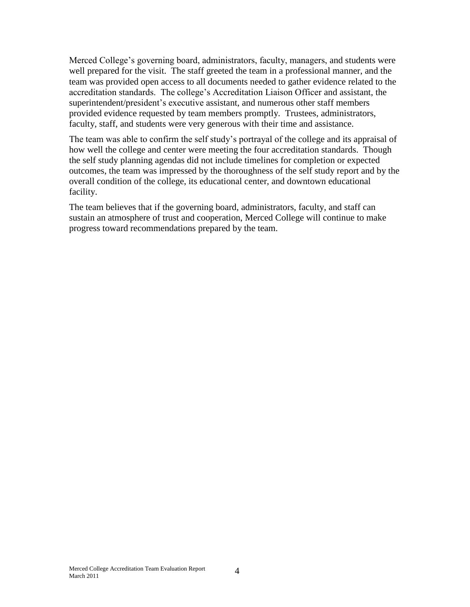Merced College's governing board, administrators, faculty, managers, and students were well prepared for the visit. The staff greeted the team in a professional manner, and the team was provided open access to all documents needed to gather evidence related to the accreditation standards. The college's Accreditation Liaison Officer and assistant, the superintendent/president's executive assistant, and numerous other staff members provided evidence requested by team members promptly. Trustees, administrators, faculty, staff, and students were very generous with their time and assistance.

The team was able to confirm the self study's portrayal of the college and its appraisal of how well the college and center were meeting the four accreditation standards. Though the self study planning agendas did not include timelines for completion or expected outcomes, the team was impressed by the thoroughness of the self study report and by the overall condition of the college, its educational center, and downtown educational facility.

The team believes that if the governing board, administrators, faculty, and staff can sustain an atmosphere of trust and cooperation, Merced College will continue to make progress toward recommendations prepared by the team.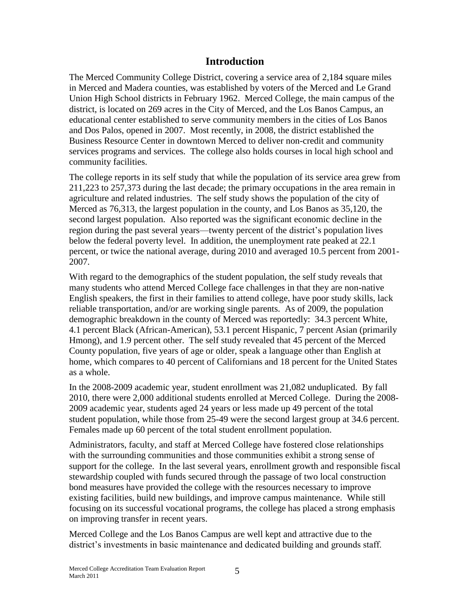### **Introduction**

The Merced Community College District, covering a service area of 2,184 square miles in Merced and Madera counties, was established by voters of the Merced and Le Grand Union High School districts in February 1962. Merced College, the main campus of the district, is located on 269 acres in the City of Merced, and the Los Banos Campus, an educational center established to serve community members in the cities of Los Banos and Dos Palos, opened in 2007. Most recently, in 2008, the district established the Business Resource Center in downtown Merced to deliver non-credit and community services programs and services. The college also holds courses in local high school and community facilities.

The college reports in its self study that while the population of its service area grew from 211,223 to 257,373 during the last decade; the primary occupations in the area remain in agriculture and related industries. The self study shows the population of the city of Merced as 76,313, the largest population in the county, and Los Banos as 35,120, the second largest population. Also reported was the significant economic decline in the region during the past several years—twenty percent of the district's population lives below the federal poverty level. In addition, the unemployment rate peaked at 22.1 percent, or twice the national average, during 2010 and averaged 10.5 percent from 2001- 2007.

With regard to the demographics of the student population, the self study reveals that many students who attend Merced College face challenges in that they are non-native English speakers, the first in their families to attend college, have poor study skills, lack reliable transportation, and/or are working single parents. As of 2009, the population demographic breakdown in the county of Merced was reportedly: 34.3 percent White, 4.1 percent Black (African-American), 53.1 percent Hispanic, 7 percent Asian (primarily Hmong), and 1.9 percent other. The self study revealed that 45 percent of the Merced County population, five years of age or older, speak a language other than English at home, which compares to 40 percent of Californians and 18 percent for the United States as a whole.

In the 2008-2009 academic year, student enrollment was 21,082 unduplicated. By fall 2010, there were 2,000 additional students enrolled at Merced College. During the 2008- 2009 academic year, students aged 24 years or less made up 49 percent of the total student population, while those from 25-49 were the second largest group at 34.6 percent. Females made up 60 percent of the total student enrollment population.

Administrators, faculty, and staff at Merced College have fostered close relationships with the surrounding communities and those communities exhibit a strong sense of support for the college. In the last several years, enrollment growth and responsible fiscal stewardship coupled with funds secured through the passage of two local construction bond measures have provided the college with the resources necessary to improve existing facilities, build new buildings, and improve campus maintenance. While still focusing on its successful vocational programs, the college has placed a strong emphasis on improving transfer in recent years.

Merced College and the Los Banos Campus are well kept and attractive due to the district's investments in basic maintenance and dedicated building and grounds staff.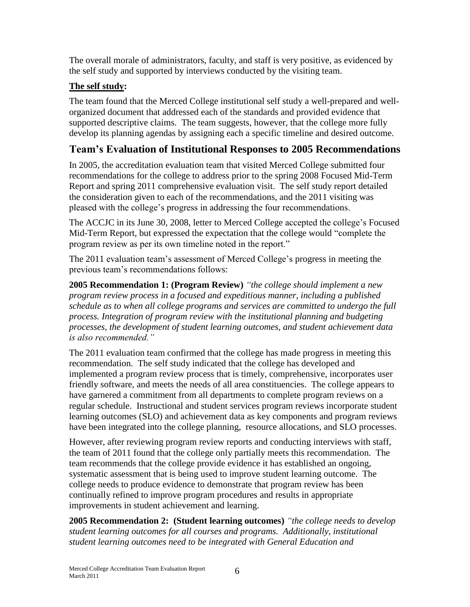The overall morale of administrators, faculty, and staff is very positive, as evidenced by the self study and supported by interviews conducted by the visiting team.

## **The self study:**

The team found that the Merced College institutional self study a well-prepared and wellorganized document that addressed each of the standards and provided evidence that supported descriptive claims. The team suggests, however, that the college more fully develop its planning agendas by assigning each a specific timeline and desired outcome.

# **Team's Evaluation of Institutional Responses to 2005 Recommendations**

In 2005, the accreditation evaluation team that visited Merced College submitted four recommendations for the college to address prior to the spring 2008 Focused Mid-Term Report and spring 2011 comprehensive evaluation visit. The self study report detailed the consideration given to each of the recommendations, and the 2011 visiting was pleased with the college's progress in addressing the four recommendations.

The ACCJC in its June 30, 2008, letter to Merced College accepted the college's Focused Mid-Term Report, but expressed the expectation that the college would "complete the program review as per its own timeline noted in the report."

The 2011 evaluation team's assessment of Merced College's progress in meeting the previous team's recommendations follows:

**2005 Recommendation 1: (Program Review)** *"the college should implement a new program review process in a focused and expeditious manner, including a published schedule as to when all college programs and services are committed to undergo the full process. Integration of program review with the institutional planning and budgeting processes, the development of student learning outcomes, and student achievement data is also recommended."*

The 2011 evaluation team confirmed that the college has made progress in meeting this recommendation. The self study indicated that the college has developed and implemented a program review process that is timely, comprehensive, incorporates user friendly software, and meets the needs of all area constituencies. The college appears to have garnered a commitment from all departments to complete program reviews on a regular schedule. Instructional and student services program reviews incorporate student learning outcomes (SLO) and achievement data as key components and program reviews have been integrated into the college planning, resource allocations, and SLO processes.

However, after reviewing program review reports and conducting interviews with staff, the team of 2011 found that the college only partially meets this recommendation. The team recommends that the college provide evidence it has established an ongoing, systematic assessment that is being used to improve student learning outcome. The college needs to produce evidence to demonstrate that program review has been continually refined to improve program procedures and results in appropriate improvements in student achievement and learning.

**2005 Recommendation 2: (Student learning outcomes)** *"the college needs to develop student learning outcomes for all courses and programs. Additionally, institutional student learning outcomes need to be integrated with General Education and*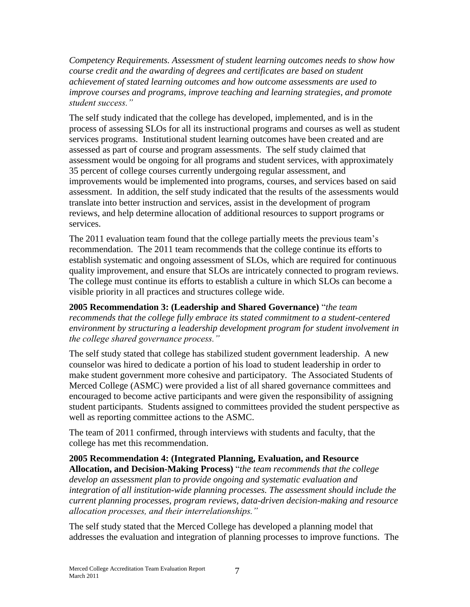*Competency Requirements. Assessment of student learning outcomes needs to show how course credit and the awarding of degrees and certificates are based on student achievement of stated learning outcomes and how outcome assessments are used to improve courses and programs, improve teaching and learning strategies, and promote student success."*

The self study indicated that the college has developed, implemented, and is in the process of assessing SLOs for all its instructional programs and courses as well as student services programs. Institutional student learning outcomes have been created and are assessed as part of course and program assessments. The self study claimed that assessment would be ongoing for all programs and student services, with approximately 35 percent of college courses currently undergoing regular assessment, and improvements would be implemented into programs, courses, and services based on said assessment. In addition, the self study indicated that the results of the assessments would translate into better instruction and services, assist in the development of program reviews, and help determine allocation of additional resources to support programs or services.

The 2011 evaluation team found that the college partially meets the previous team's recommendation. The 2011 team recommends that the college continue its efforts to establish systematic and ongoing assessment of SLOs, which are required for continuous quality improvement, and ensure that SLOs are intricately connected to program reviews. The college must continue its efforts to establish a culture in which SLOs can become a visible priority in all practices and structures college wide.

**2005 Recommendation 3: (Leadership and Shared Governance)** ―*the team recommends that the college fully embrace its stated commitment to a student-centered environment by structuring a leadership development program for student involvement in the college shared governance process."*

The self study stated that college has stabilized student government leadership. A new counselor was hired to dedicate a portion of his load to student leadership in order to make student government more cohesive and participatory. The Associated Students of Merced College (ASMC) were provided a list of all shared governance committees and encouraged to become active participants and were given the responsibility of assigning student participants. Students assigned to committees provided the student perspective as well as reporting committee actions to the ASMC.

The team of 2011 confirmed, through interviews with students and faculty, that the college has met this recommendation.

**2005 Recommendation 4: (Integrated Planning, Evaluation, and Resource Allocation, and Decision-Making Process)** ―*the team recommends that the college develop an assessment plan to provide ongoing and systematic evaluation and integration of all institution-wide planning processes. The assessment should include the current planning processes, program reviews, data-driven decision-making and resource allocation processes, and their interrelationships."*

The self study stated that the Merced College has developed a planning model that addresses the evaluation and integration of planning processes to improve functions. The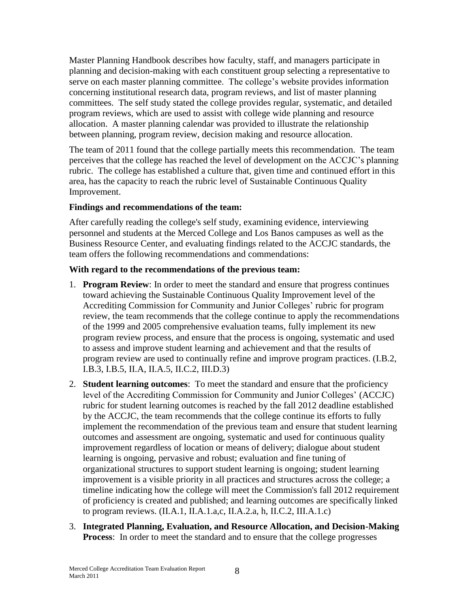Master Planning Handbook describes how faculty, staff, and managers participate in planning and decision-making with each constituent group selecting a representative to serve on each master planning committee. The college's website provides information concerning institutional research data, program reviews, and list of master planning committees. The self study stated the college provides regular, systematic, and detailed program reviews, which are used to assist with college wide planning and resource allocation. A master planning calendar was provided to illustrate the relationship between planning, program review, decision making and resource allocation.

The team of 2011 found that the college partially meets this recommendation. The team perceives that the college has reached the level of development on the ACCJC's planning rubric. The college has established a culture that, given time and continued effort in this area, has the capacity to reach the rubric level of Sustainable Continuous Quality Improvement.

#### **Findings and recommendations of the team:**

After carefully reading the college's self study, examining evidence, interviewing personnel and students at the Merced College and Los Banos campuses as well as the Business Resource Center, and evaluating findings related to the ACCJC standards, the team offers the following recommendations and commendations:

#### **With regard to the recommendations of the previous team:**

- 1. **Program Review**: In order to meet the standard and ensure that progress continues toward achieving the Sustainable Continuous Quality Improvement level of the Accrediting Commission for Community and Junior Colleges' rubric for program review, the team recommends that the college continue to apply the recommendations of the 1999 and 2005 comprehensive evaluation teams, fully implement its new program review process, and ensure that the process is ongoing, systematic and used to assess and improve student learning and achievement and that the results of program review are used to continually refine and improve program practices. (I.B.2, I.B.3, I.B.5, II.A, II.A.5, II.C.2, III.D.3)
- 2. **Student learning outcomes**: To meet the standard and ensure that the proficiency level of the Accrediting Commission for Community and Junior Colleges' (ACCJC) rubric for student learning outcomes is reached by the fall 2012 deadline established by the ACCJC, the team recommends that the college continue its efforts to fully implement the recommendation of the previous team and ensure that student learning outcomes and assessment are ongoing, systematic and used for continuous quality improvement regardless of location or means of delivery; dialogue about student learning is ongoing, pervasive and robust; evaluation and fine tuning of organizational structures to support student learning is ongoing; student learning improvement is a visible priority in all practices and structures across the college; a timeline indicating how the college will meet the Commission's fall 2012 requirement of proficiency is created and published; and learning outcomes are specifically linked to program reviews. (II.A.1, II.A.1.a,c, II.A.2.a, h, II.C.2, III.A.1.c)
- 3. **Integrated Planning, Evaluation, and Resource Allocation, and Decision-Making Process**: In order to meet the standard and to ensure that the college progresses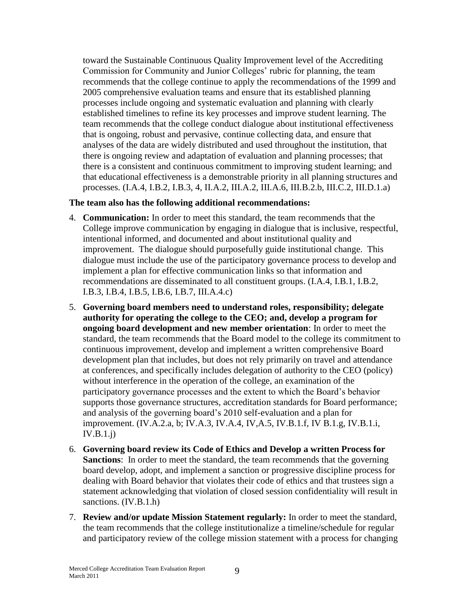toward the Sustainable Continuous Quality Improvement level of the Accrediting Commission for Community and Junior Colleges' rubric for planning, the team recommends that the college continue to apply the recommendations of the 1999 and 2005 comprehensive evaluation teams and ensure that its established planning processes include ongoing and systematic evaluation and planning with clearly established timelines to refine its key processes and improve student learning. The team recommends that the college conduct dialogue about institutional effectiveness that is ongoing, robust and pervasive, continue collecting data, and ensure that analyses of the data are widely distributed and used throughout the institution, that there is ongoing review and adaptation of evaluation and planning processes; that there is a consistent and continuous commitment to improving student learning; and that educational effectiveness is a demonstrable priority in all planning structures and processes. (I.A.4, I.B.2, I.B.3, 4, II.A.2, III.A.2, III.A.6, III.B.2.b, III.C.2, III.D.1.a)

#### **The team also has the following additional recommendations:**

- 4. **Communication:** In order to meet this standard, the team recommends that the College improve communication by engaging in dialogue that is inclusive, respectful, intentional informed, and documented and about institutional quality and improvement. The dialogue should purposefully guide institutional change. This dialogue must include the use of the participatory governance process to develop and implement a plan for effective communication links so that information and recommendations are disseminated to all constituent groups. (I.A.4, I.B.1, I.B.2, I.B.3, I.B.4, I.B.5, I.B.6, I.B.7, III.A.4.c)
- 5. **Governing board members need to understand roles, responsibility; delegate authority for operating the college to the CEO; and, develop a program for ongoing board development and new member orientation**: In order to meet the standard, the team recommends that the Board model to the college its commitment to continuous improvement, develop and implement a written comprehensive Board development plan that includes, but does not rely primarily on travel and attendance at conferences, and specifically includes delegation of authority to the CEO (policy) without interference in the operation of the college, an examination of the participatory governance processes and the extent to which the Board's behavior supports those governance structures, accreditation standards for Board performance; and analysis of the governing board's 2010 self-evaluation and a plan for improvement. (IV.A.2.a, b; IV.A.3, IV.A.4, IV,A.5, IV.B.1.f, IV B.1.g, IV.B.1.i, IV.B.1.j)
- 6. **Governing board review its Code of Ethics and Develop a written Process for Sanctions**: In order to meet the standard, the team recommends that the governing board develop, adopt, and implement a sanction or progressive discipline process for dealing with Board behavior that violates their code of ethics and that trustees sign a statement acknowledging that violation of closed session confidentiality will result in sanctions. (IV.B.1.h)
- 7. **Review and/or update Mission Statement regularly:** In order to meet the standard, the team recommends that the college institutionalize a timeline/schedule for regular and participatory review of the college mission statement with a process for changing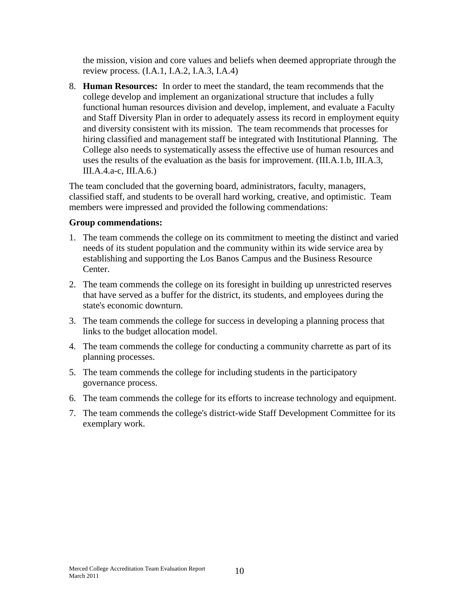the mission, vision and core values and beliefs when deemed appropriate through the review process. (I.A.1, I.A.2, I.A.3, I.A.4)

8. **Human Resources:** In order to meet the standard, the team recommends that the college develop and implement an organizational structure that includes a fully functional human resources division and develop, implement, and evaluate a Faculty and Staff Diversity Plan in order to adequately assess its record in employment equity and diversity consistent with its mission. The team recommends that processes for hiring classified and management staff be integrated with Institutional Planning. The College also needs to systematically assess the effective use of human resources and uses the results of the evaluation as the basis for improvement. (III.A.1.b, III.A.3, III.A.4.a-c, III.A.6.)

The team concluded that the governing board, administrators, faculty, managers, classified staff, and students to be overall hard working, creative, and optimistic. Team members were impressed and provided the following commendations:

#### **Group commendations:**

- 1. The team commends the college on its commitment to meeting the distinct and varied needs of its student population and the community within its wide service area by establishing and supporting the Los Banos Campus and the Business Resource Center.
- 2. The team commends the college on its foresight in building up unrestricted reserves that have served as a buffer for the district, its students, and employees during the state's economic downturn.
- 3. The team commends the college for success in developing a planning process that links to the budget allocation model.
- 4. The team commends the college for conducting a community charrette as part of its planning processes.
- 5. The team commends the college for including students in the participatory governance process.
- 6. The team commends the college for its efforts to increase technology and equipment.
- 7. The team commends the college's district-wide Staff Development Committee for its exemplary work.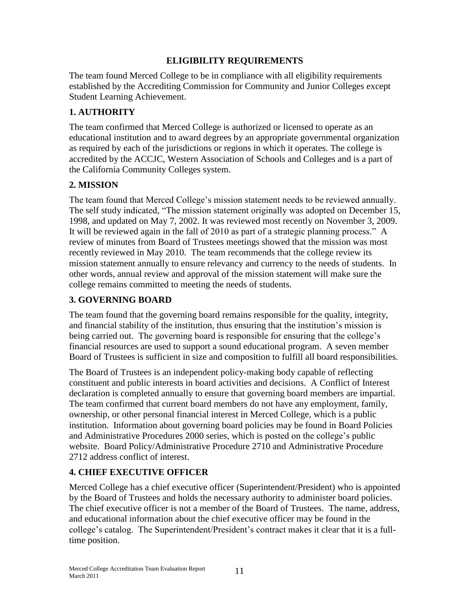#### **ELIGIBILITY REQUIREMENTS**

The team found Merced College to be in compliance with all eligibility requirements established by the Accrediting Commission for Community and Junior Colleges except Student Learning Achievement.

## **1. AUTHORITY**

The team confirmed that Merced College is authorized or licensed to operate as an educational institution and to award degrees by an appropriate governmental organization as required by each of the jurisdictions or regions in which it operates. The college is accredited by the ACCJC, Western Association of Schools and Colleges and is a part of the California Community Colleges system.

#### **2. MISSION**

The team found that Merced College's mission statement needs to be reviewed annually. The self study indicated, "The mission statement originally was adopted on December 15, 1998, and updated on May 7, 2002. It was reviewed most recently on November 3, 2009. It will be reviewed again in the fall of 2010 as part of a strategic planning process." A review of minutes from Board of Trustees meetings showed that the mission was most recently reviewed in May 2010. The team recommends that the college review its mission statement annually to ensure relevancy and currency to the needs of students. In other words, annual review and approval of the mission statement will make sure the college remains committed to meeting the needs of students.

## **3. GOVERNING BOARD**

The team found that the governing board remains responsible for the quality, integrity, and financial stability of the institution, thus ensuring that the institution's mission is being carried out. The governing board is responsible for ensuring that the college's financial resources are used to support a sound educational program. A seven member Board of Trustees is sufficient in size and composition to fulfill all board responsibilities.

The Board of Trustees is an independent policy-making body capable of reflecting constituent and public interests in board activities and decisions. A Conflict of Interest declaration is completed annually to ensure that governing board members are impartial. The team confirmed that current board members do not have any employment, family, ownership, or other personal financial interest in Merced College, which is a public institution. Information about governing board policies may be found in Board Policies and Administrative Procedures 2000 series, which is posted on the college's public website. Board Policy/Administrative Procedure 2710 and Administrative Procedure 2712 address conflict of interest.

#### **4. CHIEF EXECUTIVE OFFICER**

Merced College has a chief executive officer (Superintendent/President) who is appointed by the Board of Trustees and holds the necessary authority to administer board policies. The chief executive officer is not a member of the Board of Trustees. The name, address, and educational information about the chief executive officer may be found in the college's catalog. The Superintendent/President's contract makes it clear that it is a fulltime position.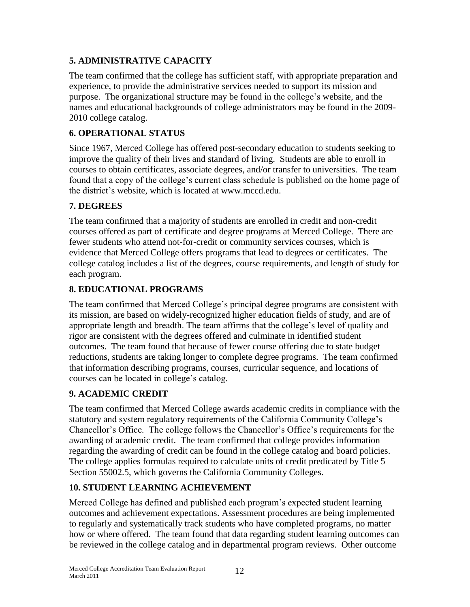## **5. ADMINISTRATIVE CAPACITY**

The team confirmed that the college has sufficient staff, with appropriate preparation and experience, to provide the administrative services needed to support its mission and purpose. The organizational structure may be found in the college's website, and the names and educational backgrounds of college administrators may be found in the 2009- 2010 college catalog.

## **6. OPERATIONAL STATUS**

Since 1967, Merced College has offered post-secondary education to students seeking to improve the quality of their lives and standard of living. Students are able to enroll in courses to obtain certificates, associate degrees, and/or transfer to universities. The team found that a copy of the college's current class schedule is published on the home page of the district's website, which is located at www.mccd.edu.

#### **7. DEGREES**

The team confirmed that a majority of students are enrolled in credit and non-credit courses offered as part of certificate and degree programs at Merced College. There are fewer students who attend not-for-credit or community services courses, which is evidence that Merced College offers programs that lead to degrees or certificates. The college catalog includes a list of the degrees, course requirements, and length of study for each program.

## **8. EDUCATIONAL PROGRAMS**

The team confirmed that Merced College's principal degree programs are consistent with its mission, are based on widely-recognized higher education fields of study, and are of appropriate length and breadth. The team affirms that the college's level of quality and rigor are consistent with the degrees offered and culminate in identified student outcomes. The team found that because of fewer course offering due to state budget reductions, students are taking longer to complete degree programs. The team confirmed that information describing programs, courses, curricular sequence, and locations of courses can be located in college's catalog.

## **9. ACADEMIC CREDIT**

The team confirmed that Merced College awards academic credits in compliance with the statutory and system regulatory requirements of the California Community College's Chancellor's Office. The college follows the Chancellor's Office's requirements for the awarding of academic credit. The team confirmed that college provides information regarding the awarding of credit can be found in the college catalog and board policies. The college applies formulas required to calculate units of credit predicated by Title 5 Section 55002.5, which governs the California Community Colleges.

## **10. STUDENT LEARNING ACHIEVEMENT**

Merced College has defined and published each program's expected student learning outcomes and achievement expectations. Assessment procedures are being implemented to regularly and systematically track students who have completed programs, no matter how or where offered. The team found that data regarding student learning outcomes can be reviewed in the college catalog and in departmental program reviews. Other outcome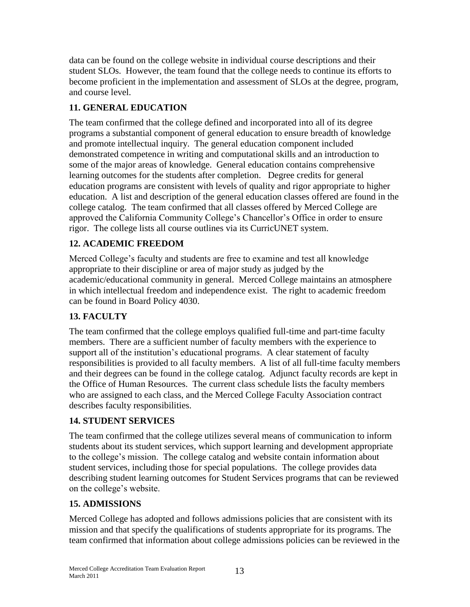data can be found on the college website in individual course descriptions and their student SLOs. However, the team found that the college needs to continue its efforts to become proficient in the implementation and assessment of SLOs at the degree, program, and course level.

## **11. GENERAL EDUCATION**

The team confirmed that the college defined and incorporated into all of its degree programs a substantial component of general education to ensure breadth of knowledge and promote intellectual inquiry. The general education component included demonstrated competence in writing and computational skills and an introduction to some of the major areas of knowledge. General education contains comprehensive learning outcomes for the students after completion. Degree credits for general education programs are consistent with levels of quality and rigor appropriate to higher education. A list and description of the general education classes offered are found in the college catalog. The team confirmed that all classes offered by Merced College are approved the California Community College's Chancellor's Office in order to ensure rigor. The college lists all course outlines via its CurricUNET system.

## **12. ACADEMIC FREEDOM**

Merced College's faculty and students are free to examine and test all knowledge appropriate to their discipline or area of major study as judged by the academic/educational community in general. Merced College maintains an atmosphere in which intellectual freedom and independence exist. The right to academic freedom can be found in Board Policy 4030.

## **13. FACULTY**

The team confirmed that the college employs qualified full-time and part-time faculty members. There are a sufficient number of faculty members with the experience to support all of the institution's educational programs. A clear statement of faculty responsibilities is provided to all faculty members. A list of all full-time faculty members and their degrees can be found in the college catalog. Adjunct faculty records are kept in the Office of Human Resources. The current class schedule lists the faculty members who are assigned to each class, and the Merced College Faculty Association contract describes faculty responsibilities.

#### **14. STUDENT SERVICES**

The team confirmed that the college utilizes several means of communication to inform students about its student services, which support learning and development appropriate to the college's mission. The college catalog and website contain information about student services, including those for special populations. The college provides data describing student learning outcomes for Student Services programs that can be reviewed on the college's website.

## **15. ADMISSIONS**

Merced College has adopted and follows admissions policies that are consistent with its mission and that specify the qualifications of students appropriate for its programs. The team confirmed that information about college admissions policies can be reviewed in the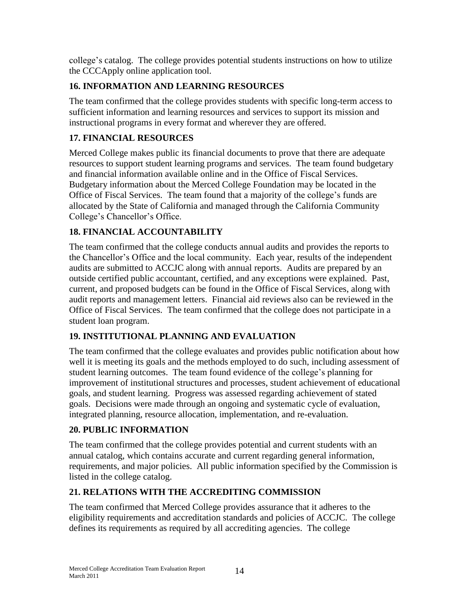college's catalog. The college provides potential students instructions on how to utilize the CCCApply online application tool.

# **16. INFORMATION AND LEARNING RESOURCES**

The team confirmed that the college provides students with specific long-term access to sufficient information and learning resources and services to support its mission and instructional programs in every format and wherever they are offered.

# **17. FINANCIAL RESOURCES**

Merced College makes public its financial documents to prove that there are adequate resources to support student learning programs and services. The team found budgetary and financial information available online and in the Office of Fiscal Services. Budgetary information about the Merced College Foundation may be located in the Office of Fiscal Services. The team found that a majority of the college's funds are allocated by the State of California and managed through the California Community College's Chancellor's Office.

## **18. FINANCIAL ACCOUNTABILITY**

The team confirmed that the college conducts annual audits and provides the reports to the Chancellor's Office and the local community. Each year, results of the independent audits are submitted to ACCJC along with annual reports. Audits are prepared by an outside certified public accountant, certified, and any exceptions were explained. Past, current, and proposed budgets can be found in the Office of Fiscal Services, along with audit reports and management letters. Financial aid reviews also can be reviewed in the Office of Fiscal Services. The team confirmed that the college does not participate in a student loan program.

## **19. INSTITUTIONAL PLANNING AND EVALUATION**

The team confirmed that the college evaluates and provides public notification about how well it is meeting its goals and the methods employed to do such, including assessment of student learning outcomes. The team found evidence of the college's planning for improvement of institutional structures and processes, student achievement of educational goals, and student learning. Progress was assessed regarding achievement of stated goals. Decisions were made through an ongoing and systematic cycle of evaluation, integrated planning, resource allocation, implementation, and re-evaluation.

## **20. PUBLIC INFORMATION**

The team confirmed that the college provides potential and current students with an annual catalog, which contains accurate and current regarding general information, requirements, and major policies. All public information specified by the Commission is listed in the college catalog.

## **21. RELATIONS WITH THE ACCREDITING COMMISSION**

The team confirmed that Merced College provides assurance that it adheres to the eligibility requirements and accreditation standards and policies of ACCJC. The college defines its requirements as required by all accrediting agencies. The college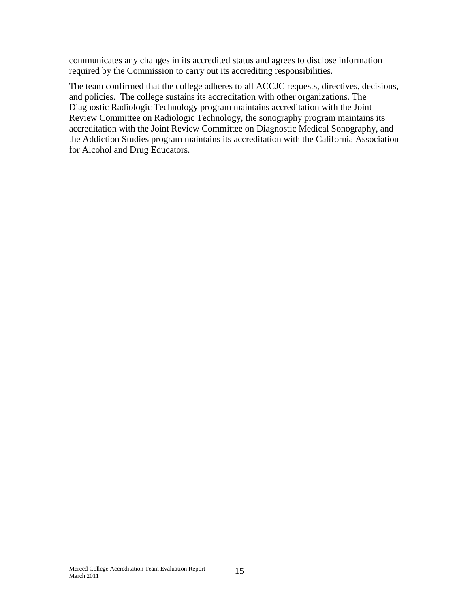communicates any changes in its accredited status and agrees to disclose information required by the Commission to carry out its accrediting responsibilities.

The team confirmed that the college adheres to all ACCJC requests, directives, decisions, and policies. The college sustains its accreditation with other organizations. The Diagnostic Radiologic Technology program maintains accreditation with the Joint Review Committee on Radiologic Technology, the sonography program maintains its accreditation with the Joint Review Committee on Diagnostic Medical Sonography, and the Addiction Studies program maintains its accreditation with the California Association for Alcohol and Drug Educators.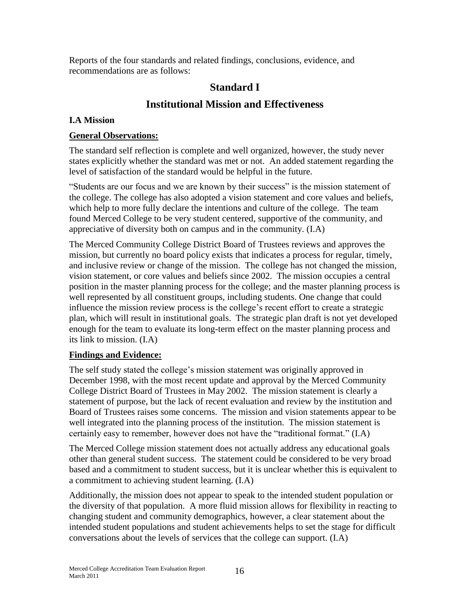Reports of the four standards and related findings, conclusions, evidence, and recommendations are as follows:

# **Standard I**

# **Institutional Mission and Effectiveness**

### **I.A Mission**

#### **General Observations:**

The standard self reflection is complete and well organized, however, the study never states explicitly whether the standard was met or not. An added statement regarding the level of satisfaction of the standard would be helpful in the future.

"Students are our focus and we are known by their success" is the mission statement of the college. The college has also adopted a vision statement and core values and beliefs, which help to more fully declare the intentions and culture of the college. The team found Merced College to be very student centered, supportive of the community, and appreciative of diversity both on campus and in the community. (I.A)

The Merced Community College District Board of Trustees reviews and approves the mission, but currently no board policy exists that indicates a process for regular, timely, and inclusive review or change of the mission. The college has not changed the mission, vision statement, or core values and beliefs since 2002. The mission occupies a central position in the master planning process for the college; and the master planning process is well represented by all constituent groups, including students. One change that could influence the mission review process is the college's recent effort to create a strategic plan, which will result in institutional goals. The strategic plan draft is not yet developed enough for the team to evaluate its long-term effect on the master planning process and its link to mission. (I.A)

#### **Findings and Evidence:**

The self study stated the college's mission statement was originally approved in December 1998, with the most recent update and approval by the Merced Community College District Board of Trustees in May 2002. The mission statement is clearly a statement of purpose, but the lack of recent evaluation and review by the institution and Board of Trustees raises some concerns. The mission and vision statements appear to be well integrated into the planning process of the institution. The mission statement is certainly easy to remember, however does not have the "traditional format." (I.A)

The Merced College mission statement does not actually address any educational goals other than general student success. The statement could be considered to be very broad based and a commitment to student success, but it is unclear whether this is equivalent to a commitment to achieving student learning. (I.A)

Additionally, the mission does not appear to speak to the intended student population or the diversity of that population. A more fluid mission allows for flexibility in reacting to changing student and community demographics, however, a clear statement about the intended student populations and student achievements helps to set the stage for difficult conversations about the levels of services that the college can support. (I.A)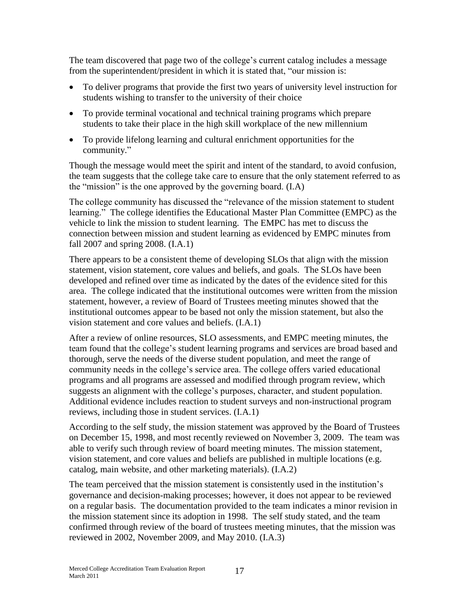The team discovered that page two of the college's current catalog includes a message from the superintendent/president in which it is stated that, "our mission is:

- To deliver programs that provide the first two years of university level instruction for students wishing to transfer to the university of their choice
- To provide terminal vocational and technical training programs which prepare students to take their place in the high skill workplace of the new millennium
- To provide lifelong learning and cultural enrichment opportunities for the community."

Though the message would meet the spirit and intent of the standard, to avoid confusion, the team suggests that the college take care to ensure that the only statement referred to as the "mission" is the one approved by the governing board.  $(I.A)$ 

The college community has discussed the "relevance of the mission statement to student learning." The college identifies the Educational Master Plan Committee (EMPC) as the vehicle to link the mission to student learning. The EMPC has met to discuss the connection between mission and student learning as evidenced by EMPC minutes from fall 2007 and spring 2008. (I.A.1)

There appears to be a consistent theme of developing SLOs that align with the mission statement, vision statement, core values and beliefs, and goals. The SLOs have been developed and refined over time as indicated by the dates of the evidence sited for this area. The college indicated that the institutional outcomes were written from the mission statement, however, a review of Board of Trustees meeting minutes showed that the institutional outcomes appear to be based not only the mission statement, but also the vision statement and core values and beliefs. (I.A.1)

After a review of online resources, SLO assessments, and EMPC meeting minutes, the team found that the college's student learning programs and services are broad based and thorough, serve the needs of the diverse student population, and meet the range of community needs in the college's service area. The college offers varied educational programs and all programs are assessed and modified through program review, which suggests an alignment with the college's purposes, character, and student population. Additional evidence includes reaction to student surveys and non-instructional program reviews, including those in student services. (I.A.1)

According to the self study, the mission statement was approved by the Board of Trustees on December 15, 1998, and most recently reviewed on November 3, 2009. The team was able to verify such through review of board meeting minutes. The mission statement, vision statement, and core values and beliefs are published in multiple locations (e.g. catalog, main website, and other marketing materials). (I.A.2)

The team perceived that the mission statement is consistently used in the institution's governance and decision-making processes; however, it does not appear to be reviewed on a regular basis. The documentation provided to the team indicates a minor revision in the mission statement since its adoption in 1998. The self study stated, and the team confirmed through review of the board of trustees meeting minutes, that the mission was reviewed in 2002, November 2009, and May 2010. (I.A.3)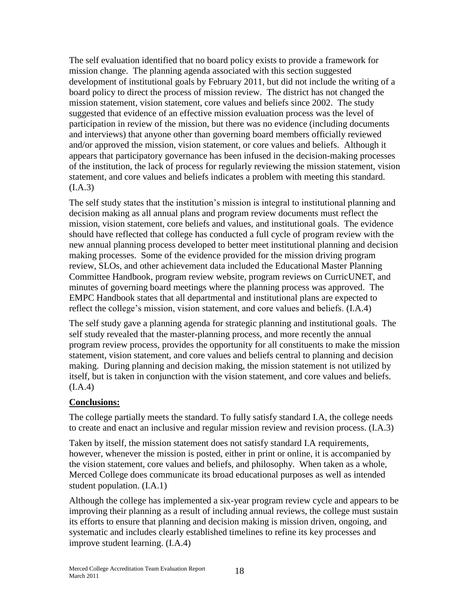The self evaluation identified that no board policy exists to provide a framework for mission change. The planning agenda associated with this section suggested development of institutional goals by February 2011, but did not include the writing of a board policy to direct the process of mission review. The district has not changed the mission statement, vision statement, core values and beliefs since 2002. The study suggested that evidence of an effective mission evaluation process was the level of participation in review of the mission, but there was no evidence (including documents and interviews) that anyone other than governing board members officially reviewed and/or approved the mission, vision statement, or core values and beliefs. Although it appears that participatory governance has been infused in the decision-making processes of the institution, the lack of process for regularly reviewing the mission statement, vision statement, and core values and beliefs indicates a problem with meeting this standard.  $(I.A.3)$ 

The self study states that the institution's mission is integral to institutional planning and decision making as all annual plans and program review documents must reflect the mission, vision statement, core beliefs and values, and institutional goals. The evidence should have reflected that college has conducted a full cycle of program review with the new annual planning process developed to better meet institutional planning and decision making processes. Some of the evidence provided for the mission driving program review, SLOs, and other achievement data included the Educational Master Planning Committee Handbook, program review website, program reviews on CurricUNET, and minutes of governing board meetings where the planning process was approved. The EMPC Handbook states that all departmental and institutional plans are expected to reflect the college's mission, vision statement, and core values and beliefs. (I.A.4)

The self study gave a planning agenda for strategic planning and institutional goals. The self study revealed that the master-planning process, and more recently the annual program review process, provides the opportunity for all constituents to make the mission statement, vision statement, and core values and beliefs central to planning and decision making. During planning and decision making, the mission statement is not utilized by itself, but is taken in conjunction with the vision statement, and core values and beliefs.  $(I.A.4)$ 

## **Conclusions:**

The college partially meets the standard. To fully satisfy standard I.A, the college needs to create and enact an inclusive and regular mission review and revision process. (I.A.3)

Taken by itself, the mission statement does not satisfy standard I.A requirements, however, whenever the mission is posted, either in print or online, it is accompanied by the vision statement, core values and beliefs, and philosophy. When taken as a whole, Merced College does communicate its broad educational purposes as well as intended student population. (I.A.1)

Although the college has implemented a six-year program review cycle and appears to be improving their planning as a result of including annual reviews, the college must sustain its efforts to ensure that planning and decision making is mission driven, ongoing, and systematic and includes clearly established timelines to refine its key processes and improve student learning. (I.A.4)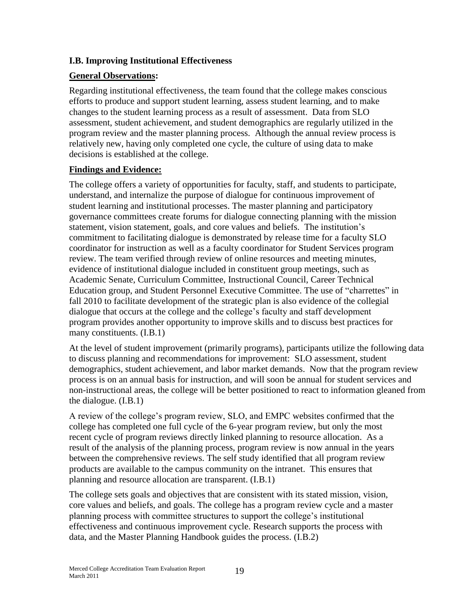#### **I.B. Improving Institutional Effectiveness**

#### **General Observations:**

Regarding institutional effectiveness, the team found that the college makes conscious efforts to produce and support student learning, assess student learning, and to make changes to the student learning process as a result of assessment. Data from SLO assessment, student achievement, and student demographics are regularly utilized in the program review and the master planning process. Although the annual review process is relatively new, having only completed one cycle, the culture of using data to make decisions is established at the college.

#### **Findings and Evidence:**

The college offers a variety of opportunities for faculty, staff, and students to participate, understand, and internalize the purpose of dialogue for continuous improvement of student learning and institutional processes. The master planning and participatory governance committees create forums for dialogue connecting planning with the mission statement, vision statement, goals, and core values and beliefs. The institution's commitment to facilitating dialogue is demonstrated by release time for a faculty SLO coordinator for instruction as well as a faculty coordinator for Student Services program review. The team verified through review of online resources and meeting minutes, evidence of institutional dialogue included in constituent group meetings, such as Academic Senate, Curriculum Committee, Instructional Council, Career Technical Education group, and Student Personnel Executive Committee. The use of "charrettes" in fall 2010 to facilitate development of the strategic plan is also evidence of the collegial dialogue that occurs at the college and the college's faculty and staff development program provides another opportunity to improve skills and to discuss best practices for many constituents. (I.B.1)

At the level of student improvement (primarily programs), participants utilize the following data to discuss planning and recommendations for improvement: SLO assessment, student demographics, student achievement, and labor market demands. Now that the program review process is on an annual basis for instruction, and will soon be annual for student services and non-instructional areas, the college will be better positioned to react to information gleaned from the dialogue. (I.B.1)

A review of the college's program review, SLO, and EMPC websites confirmed that the college has completed one full cycle of the 6-year program review, but only the most recent cycle of program reviews directly linked planning to resource allocation. As a result of the analysis of the planning process, program review is now annual in the years between the comprehensive reviews. The self study identified that all program review products are available to the campus community on the intranet. This ensures that planning and resource allocation are transparent. (I.B.1)

The college sets goals and objectives that are consistent with its stated mission, vision, core values and beliefs, and goals. The college has a program review cycle and a master planning process with committee structures to support the college's institutional effectiveness and continuous improvement cycle. Research supports the process with data, and the Master Planning Handbook guides the process. (I.B.2)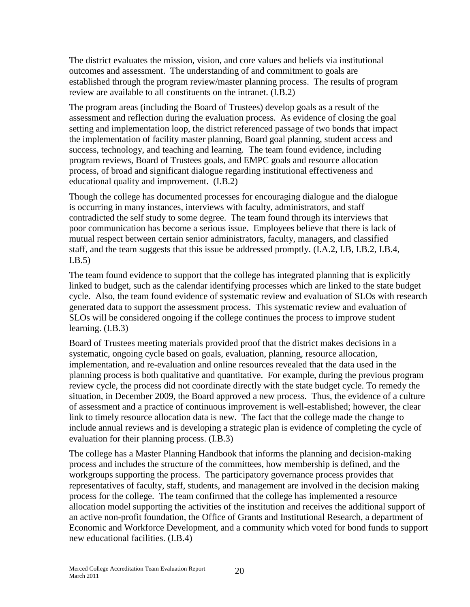The district evaluates the mission, vision, and core values and beliefs via institutional outcomes and assessment. The understanding of and commitment to goals are established through the program review/master planning process. The results of program review are available to all constituents on the intranet. (I.B.2)

The program areas (including the Board of Trustees) develop goals as a result of the assessment and reflection during the evaluation process. As evidence of closing the goal setting and implementation loop, the district referenced passage of two bonds that impact the implementation of facility master planning, Board goal planning, student access and success, technology, and teaching and learning. The team found evidence, including program reviews, Board of Trustees goals, and EMPC goals and resource allocation process, of broad and significant dialogue regarding institutional effectiveness and educational quality and improvement. (I.B.2)

Though the college has documented processes for encouraging dialogue and the dialogue is occurring in many instances, interviews with faculty, administrators, and staff contradicted the self study to some degree. The team found through its interviews that poor communication has become a serious issue. Employees believe that there is lack of mutual respect between certain senior administrators, faculty, managers, and classified staff, and the team suggests that this issue be addressed promptly. (I.A.2, I.B, I.B.2, I.B.4, I.B.5)

The team found evidence to support that the college has integrated planning that is explicitly linked to budget, such as the calendar identifying processes which are linked to the state budget cycle. Also, the team found evidence of systematic review and evaluation of SLOs with research generated data to support the assessment process. This systematic review and evaluation of SLOs will be considered ongoing if the college continues the process to improve student learning. (I.B.3)

Board of Trustees meeting materials provided proof that the district makes decisions in a systematic, ongoing cycle based on goals, evaluation, planning, resource allocation, implementation, and re-evaluation and online resources revealed that the data used in the planning process is both qualitative and quantitative. For example, during the previous program review cycle, the process did not coordinate directly with the state budget cycle. To remedy the situation, in December 2009, the Board approved a new process. Thus, the evidence of a culture of assessment and a practice of continuous improvement is well-established; however, the clear link to timely resource allocation data is new. The fact that the college made the change to include annual reviews and is developing a strategic plan is evidence of completing the cycle of evaluation for their planning process. (I.B.3)

The college has a Master Planning Handbook that informs the planning and decision-making process and includes the structure of the committees, how membership is defined, and the workgroups supporting the process. The participatory governance process provides that representatives of faculty, staff, students, and management are involved in the decision making process for the college. The team confirmed that the college has implemented a resource allocation model supporting the activities of the institution and receives the additional support of an active non-profit foundation, the Office of Grants and Institutional Research, a department of Economic and Workforce Development, and a community which voted for bond funds to support new educational facilities. (I.B.4)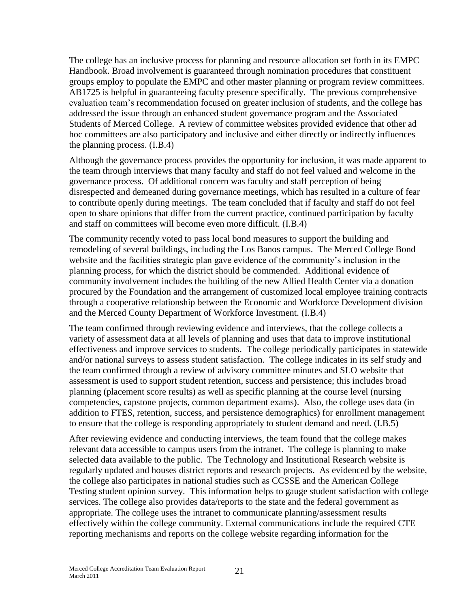The college has an inclusive process for planning and resource allocation set forth in its EMPC Handbook. Broad involvement is guaranteed through nomination procedures that constituent groups employ to populate the EMPC and other master planning or program review committees. AB1725 is helpful in guaranteeing faculty presence specifically. The previous comprehensive evaluation team's recommendation focused on greater inclusion of students, and the college has addressed the issue through an enhanced student governance program and the Associated Students of Merced College. A review of committee websites provided evidence that other ad hoc committees are also participatory and inclusive and either directly or indirectly influences the planning process. (I.B.4)

Although the governance process provides the opportunity for inclusion, it was made apparent to the team through interviews that many faculty and staff do not feel valued and welcome in the governance process. Of additional concern was faculty and staff perception of being disrespected and demeaned during governance meetings, which has resulted in a culture of fear to contribute openly during meetings. The team concluded that if faculty and staff do not feel open to share opinions that differ from the current practice, continued participation by faculty and staff on committees will become even more difficult. (I.B.4)

The community recently voted to pass local bond measures to support the building and remodeling of several buildings, including the Los Banos campus. The Merced College Bond website and the facilities strategic plan gave evidence of the community's inclusion in the planning process, for which the district should be commended. Additional evidence of community involvement includes the building of the new Allied Health Center via a donation procured by the Foundation and the arrangement of customized local employee training contracts through a cooperative relationship between the Economic and Workforce Development division and the Merced County Department of Workforce Investment. (I.B.4)

The team confirmed through reviewing evidence and interviews, that the college collects a variety of assessment data at all levels of planning and uses that data to improve institutional effectiveness and improve services to students. The college periodically participates in statewide and/or national surveys to assess student satisfaction. The college indicates in its self study and the team confirmed through a review of advisory committee minutes and SLO website that assessment is used to support student retention, success and persistence; this includes broad planning (placement score results) as well as specific planning at the course level (nursing competencies, capstone projects, common department exams). Also, the college uses data (in addition to FTES, retention, success, and persistence demographics) for enrollment management to ensure that the college is responding appropriately to student demand and need. (I.B.5)

After reviewing evidence and conducting interviews, the team found that the college makes relevant data accessible to campus users from the intranet. The college is planning to make selected data available to the public. The Technology and Institutional Research website is regularly updated and houses district reports and research projects. As evidenced by the website, the college also participates in national studies such as CCSSE and the American College Testing student opinion survey. This information helps to gauge student satisfaction with college services. The college also provides data/reports to the state and the federal government as appropriate. The college uses the intranet to communicate planning/assessment results effectively within the college community. External communications include the required CTE reporting mechanisms and reports on the college website regarding information for the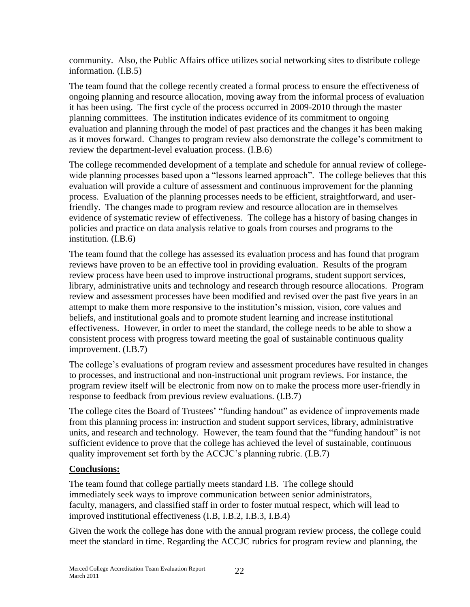community. Also, the Public Affairs office utilizes social networking sites to distribute college information. (I.B.5)

The team found that the college recently created a formal process to ensure the effectiveness of ongoing planning and resource allocation, moving away from the informal process of evaluation it has been using. The first cycle of the process occurred in 2009-2010 through the master planning committees. The institution indicates evidence of its commitment to ongoing evaluation and planning through the model of past practices and the changes it has been making as it moves forward. Changes to program review also demonstrate the college's commitment to review the department-level evaluation process. (I.B.6)

The college recommended development of a template and schedule for annual review of collegewide planning processes based upon a "lessons learned approach". The college believes that this evaluation will provide a culture of assessment and continuous improvement for the planning process. Evaluation of the planning processes needs to be efficient, straightforward, and userfriendly. The changes made to program review and resource allocation are in themselves evidence of systematic review of effectiveness. The college has a history of basing changes in policies and practice on data analysis relative to goals from courses and programs to the institution. (I.B.6)

The team found that the college has assessed its evaluation process and has found that program reviews have proven to be an effective tool in providing evaluation. Results of the program review process have been used to improve instructional programs, student support services, library, administrative units and technology and research through resource allocations. Program review and assessment processes have been modified and revised over the past five years in an attempt to make them more responsive to the institution's mission, vision, core values and beliefs, and institutional goals and to promote student learning and increase institutional effectiveness. However, in order to meet the standard, the college needs to be able to show a consistent process with progress toward meeting the goal of sustainable continuous quality improvement. (I.B.7)

The college's evaluations of program review and assessment procedures have resulted in changes to processes, and instructional and non-instructional unit program reviews. For instance, the program review itself will be electronic from now on to make the process more user-friendly in response to feedback from previous review evaluations. (I.B.7)

The college cites the Board of Trustees' "funding handout" as evidence of improvements made from this planning process in: instruction and student support services, library, administrative units, and research and technology. However, the team found that the "funding handout" is not sufficient evidence to prove that the college has achieved the level of sustainable, continuous quality improvement set forth by the ACCJC's planning rubric. (I.B.7)

#### **Conclusions:**

The team found that college partially meets standard I.B. The college should immediately seek ways to improve communication between senior administrators, faculty, managers, and classified staff in order to foster mutual respect, which will lead to improved institutional effectiveness (I.B, I.B.2, I.B.3, I.B.4)

Given the work the college has done with the annual program review process, the college could meet the standard in time. Regarding the ACCJC rubrics for program review and planning, the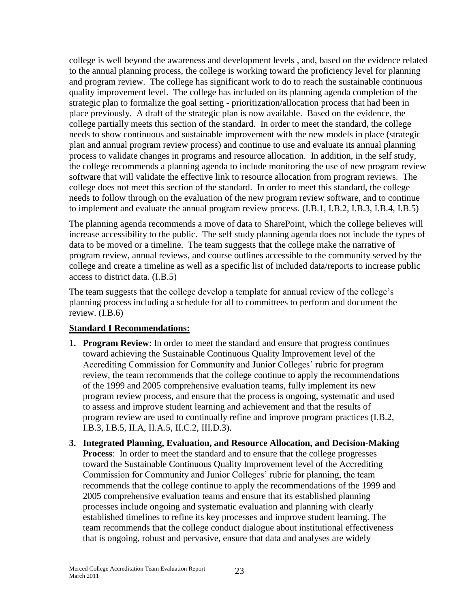college is well beyond the awareness and development levels , and, based on the evidence related to the annual planning process, the college is working toward the proficiency level for planning and program review. The college has significant work to do to reach the sustainable continuous quality improvement level. The college has included on its planning agenda completion of the strategic plan to formalize the goal setting - prioritization/allocation process that had been in place previously. A draft of the strategic plan is now available. Based on the evidence, the college partially meets this section of the standard. In order to meet the standard, the college needs to show continuous and sustainable improvement with the new models in place (strategic plan and annual program review process) and continue to use and evaluate its annual planning process to validate changes in programs and resource allocation. In addition, in the self study, the college recommends a planning agenda to include monitoring the use of new program review software that will validate the effective link to resource allocation from program reviews. The college does not meet this section of the standard. In order to meet this standard, the college needs to follow through on the evaluation of the new program review software, and to continue to implement and evaluate the annual program review process. (I.B.1, I.B.2, I.B.3, I.B.4, I.B.5)

The planning agenda recommends a move of data to SharePoint, which the college believes will increase accessibility to the public. The self study planning agenda does not include the types of data to be moved or a timeline. The team suggests that the college make the narrative of program review, annual reviews, and course outlines accessible to the community served by the college and create a timeline as well as a specific list of included data/reports to increase public access to district data. (I.B.5)

The team suggests that the college develop a template for annual review of the college's planning process including a schedule for all to committees to perform and document the review. (I.B.6)

#### **Standard I Recommendations:**

- **1. Program Review**: In order to meet the standard and ensure that progress continues toward achieving the Sustainable Continuous Quality Improvement level of the Accrediting Commission for Community and Junior Colleges' rubric for program review, the team recommends that the college continue to apply the recommendations of the 1999 and 2005 comprehensive evaluation teams, fully implement its new program review process, and ensure that the process is ongoing, systematic and used to assess and improve student learning and achievement and that the results of program review are used to continually refine and improve program practices (I.B.2, I.B.3, I.B.5, II.A, II.A.5, II.C.2, III.D.3).
- **3. Integrated Planning, Evaluation, and Resource Allocation, and Decision-Making Process**: In order to meet the standard and to ensure that the college progresses toward the Sustainable Continuous Quality Improvement level of the Accrediting Commission for Community and Junior Colleges' rubric for planning, the team recommends that the college continue to apply the recommendations of the 1999 and 2005 comprehensive evaluation teams and ensure that its established planning processes include ongoing and systematic evaluation and planning with clearly established timelines to refine its key processes and improve student learning. The team recommends that the college conduct dialogue about institutional effectiveness that is ongoing, robust and pervasive, ensure that data and analyses are widely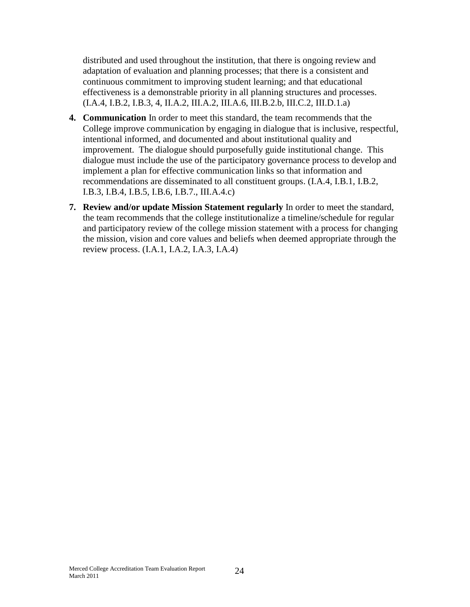distributed and used throughout the institution, that there is ongoing review and adaptation of evaluation and planning processes; that there is a consistent and continuous commitment to improving student learning; and that educational effectiveness is a demonstrable priority in all planning structures and processes. (I.A.4, I.B.2, I.B.3, 4, II.A.2, III.A.2, III.A.6, III.B.2.b, III.C.2, III.D.1.a)

- **4. Communication** In order to meet this standard, the team recommends that the College improve communication by engaging in dialogue that is inclusive, respectful, intentional informed, and documented and about institutional quality and improvement. The dialogue should purposefully guide institutional change. This dialogue must include the use of the participatory governance process to develop and implement a plan for effective communication links so that information and recommendations are disseminated to all constituent groups. (I.A.4, I.B.1, I.B.2, I.B.3, I.B.4, I.B.5, I.B.6, I.B.7., III.A.4.c)
- **7. Review and/or update Mission Statement regularly** In order to meet the standard, the team recommends that the college institutionalize a timeline/schedule for regular and participatory review of the college mission statement with a process for changing the mission, vision and core values and beliefs when deemed appropriate through the review process. (I.A.1, I.A.2, I.A.3, I.A.4)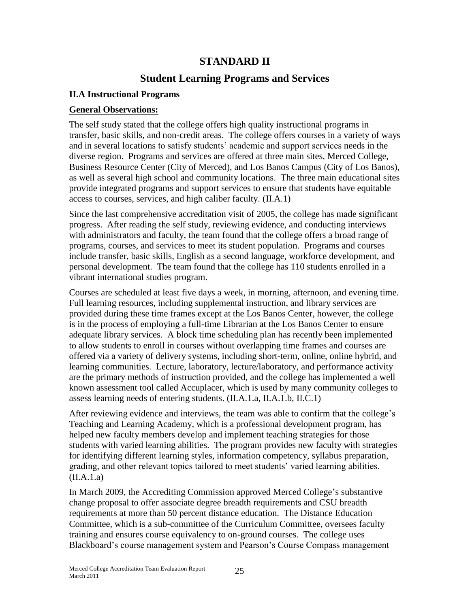## **STANDARD II**

## **Student Learning Programs and Services**

#### **II.A Instructional Programs**

#### **General Observations:**

The self study stated that the college offers high quality instructional programs in transfer, basic skills, and non-credit areas. The college offers courses in a variety of ways and in several locations to satisfy students' academic and support services needs in the diverse region. Programs and services are offered at three main sites, Merced College, Business Resource Center (City of Merced), and Los Banos Campus (City of Los Banos), as well as several high school and community locations. The three main educational sites provide integrated programs and support services to ensure that students have equitable access to courses, services, and high caliber faculty. (II.A.1)

Since the last comprehensive accreditation visit of 2005, the college has made significant progress. After reading the self study, reviewing evidence, and conducting interviews with administrators and faculty, the team found that the college offers a broad range of programs, courses, and services to meet its student population. Programs and courses include transfer, basic skills, English as a second language, workforce development, and personal development. The team found that the college has 110 students enrolled in a vibrant international studies program.

Courses are scheduled at least five days a week, in morning, afternoon, and evening time. Full learning resources, including supplemental instruction, and library services are provided during these time frames except at the Los Banos Center, however, the college is in the process of employing a full-time Librarian at the Los Banos Center to ensure adequate library services. A block time scheduling plan has recently been implemented to allow students to enroll in courses without overlapping time frames and courses are offered via a variety of delivery systems, including short-term, online, online hybrid, and learning communities. Lecture, laboratory, lecture/laboratory, and performance activity are the primary methods of instruction provided, and the college has implemented a well known assessment tool called Accuplacer, which is used by many community colleges to assess learning needs of entering students. (II.A.1.a, II.A.1.b, II.C.1)

After reviewing evidence and interviews, the team was able to confirm that the college's Teaching and Learning Academy, which is a professional development program, has helped new faculty members develop and implement teaching strategies for those students with varied learning abilities. The program provides new faculty with strategies for identifying different learning styles, information competency, syllabus preparation, grading, and other relevant topics tailored to meet students' varied learning abilities. (II.A.1.a)

In March 2009, the Accrediting Commission approved Merced College's substantive change proposal to offer associate degree breadth requirements and CSU breadth requirements at more than 50 percent distance education. The Distance Education Committee, which is a sub-committee of the Curriculum Committee, oversees faculty training and ensures course equivalency to on-ground courses. The college uses Blackboard's course management system and Pearson's Course Compass management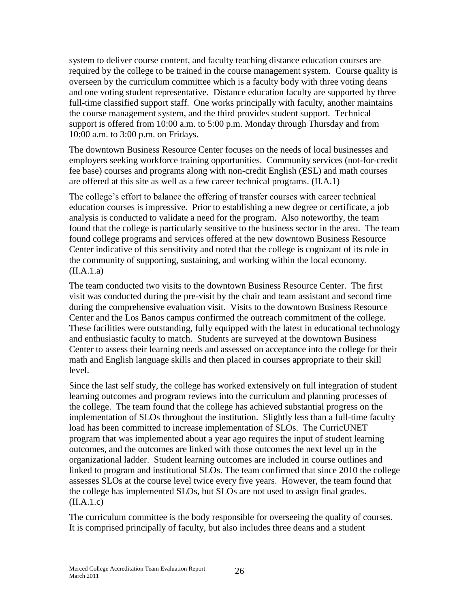system to deliver course content, and faculty teaching distance education courses are required by the college to be trained in the course management system. Course quality is overseen by the curriculum committee which is a faculty body with three voting deans and one voting student representative. Distance education faculty are supported by three full-time classified support staff. One works principally with faculty, another maintains the course management system, and the third provides student support. Technical support is offered from 10:00 a.m. to 5:00 p.m. Monday through Thursday and from 10:00 a.m. to 3:00 p.m. on Fridays.

The downtown Business Resource Center focuses on the needs of local businesses and employers seeking workforce training opportunities. Community services (not-for-credit fee base) courses and programs along with non-credit English (ESL) and math courses are offered at this site as well as a few career technical programs. (II.A.1)

The college's effort to balance the offering of transfer courses with career technical education courses is impressive. Prior to establishing a new degree or certificate, a job analysis is conducted to validate a need for the program. Also noteworthy, the team found that the college is particularly sensitive to the business sector in the area. The team found college programs and services offered at the new downtown Business Resource Center indicative of this sensitivity and noted that the college is cognizant of its role in the community of supporting, sustaining, and working within the local economy.  $(II.A.1.a)$ 

The team conducted two visits to the downtown Business Resource Center. The first visit was conducted during the pre-visit by the chair and team assistant and second time during the comprehensive evaluation visit. Visits to the downtown Business Resource Center and the Los Banos campus confirmed the outreach commitment of the college. These facilities were outstanding, fully equipped with the latest in educational technology and enthusiastic faculty to match. Students are surveyed at the downtown Business Center to assess their learning needs and assessed on acceptance into the college for their math and English language skills and then placed in courses appropriate to their skill level.

Since the last self study, the college has worked extensively on full integration of student learning outcomes and program reviews into the curriculum and planning processes of the college. The team found that the college has achieved substantial progress on the implementation of SLOs throughout the institution. Slightly less than a full-time faculty load has been committed to increase implementation of SLOs. The CurricUNET program that was implemented about a year ago requires the input of student learning outcomes, and the outcomes are linked with those outcomes the next level up in the organizational ladder. Student learning outcomes are included in course outlines and linked to program and institutional SLOs. The team confirmed that since 2010 the college assesses SLOs at the course level twice every five years. However, the team found that the college has implemented SLOs, but SLOs are not used to assign final grades.  $(II.A.1.c)$ 

The curriculum committee is the body responsible for overseeing the quality of courses. It is comprised principally of faculty, but also includes three deans and a student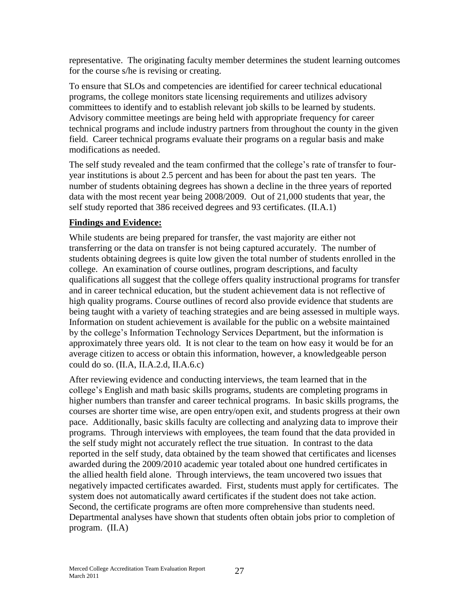representative. The originating faculty member determines the student learning outcomes for the course s/he is revising or creating.

To ensure that SLOs and competencies are identified for career technical educational programs, the college monitors state licensing requirements and utilizes advisory committees to identify and to establish relevant job skills to be learned by students. Advisory committee meetings are being held with appropriate frequency for career technical programs and include industry partners from throughout the county in the given field. Career technical programs evaluate their programs on a regular basis and make modifications as needed.

The self study revealed and the team confirmed that the college's rate of transfer to fouryear institutions is about 2.5 percent and has been for about the past ten years. The number of students obtaining degrees has shown a decline in the three years of reported data with the most recent year being 2008/2009. Out of 21,000 students that year, the self study reported that 386 received degrees and 93 certificates. (II.A.1)

#### **Findings and Evidence:**

While students are being prepared for transfer, the vast majority are either not transferring or the data on transfer is not being captured accurately. The number of students obtaining degrees is quite low given the total number of students enrolled in the college. An examination of course outlines, program descriptions, and faculty qualifications all suggest that the college offers quality instructional programs for transfer and in career technical education, but the student achievement data is not reflective of high quality programs. Course outlines of record also provide evidence that students are being taught with a variety of teaching strategies and are being assessed in multiple ways. Information on student achievement is available for the public on a website maintained by the college's Information Technology Services Department, but the information is approximately three years old. It is not clear to the team on how easy it would be for an average citizen to access or obtain this information, however, a knowledgeable person could do so. (II.A, II.A.2.d, II.A.6.c)

After reviewing evidence and conducting interviews, the team learned that in the college's English and math basic skills programs, students are completing programs in higher numbers than transfer and career technical programs. In basic skills programs, the courses are shorter time wise, are open entry/open exit, and students progress at their own pace. Additionally, basic skills faculty are collecting and analyzing data to improve their programs. Through interviews with employees, the team found that the data provided in the self study might not accurately reflect the true situation. In contrast to the data reported in the self study, data obtained by the team showed that certificates and licenses awarded during the 2009/2010 academic year totaled about one hundred certificates in the allied health field alone. Through interviews, the team uncovered two issues that negatively impacted certificates awarded. First, students must apply for certificates. The system does not automatically award certificates if the student does not take action. Second, the certificate programs are often more comprehensive than students need. Departmental analyses have shown that students often obtain jobs prior to completion of program. (II.A)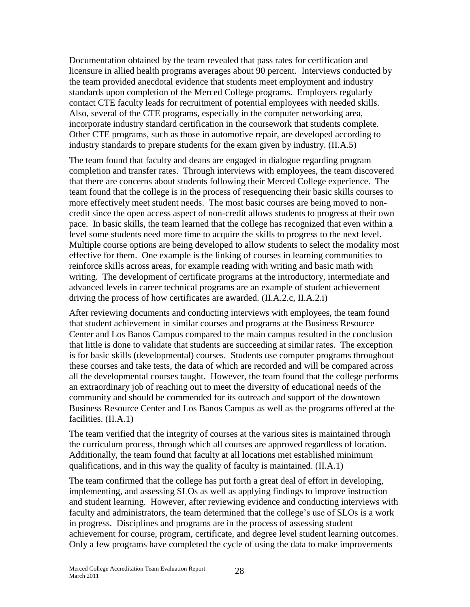Documentation obtained by the team revealed that pass rates for certification and licensure in allied health programs averages about 90 percent. Interviews conducted by the team provided anecdotal evidence that students meet employment and industry standards upon completion of the Merced College programs. Employers regularly contact CTE faculty leads for recruitment of potential employees with needed skills. Also, several of the CTE programs, especially in the computer networking area, incorporate industry standard certification in the coursework that students complete. Other CTE programs, such as those in automotive repair, are developed according to industry standards to prepare students for the exam given by industry. (II.A.5)

The team found that faculty and deans are engaged in dialogue regarding program completion and transfer rates. Through interviews with employees, the team discovered that there are concerns about students following their Merced College experience. The team found that the college is in the process of resequencing their basic skills courses to more effectively meet student needs. The most basic courses are being moved to noncredit since the open access aspect of non-credit allows students to progress at their own pace. In basic skills, the team learned that the college has recognized that even within a level some students need more time to acquire the skills to progress to the next level. Multiple course options are being developed to allow students to select the modality most effective for them. One example is the linking of courses in learning communities to reinforce skills across areas, for example reading with writing and basic math with writing. The development of certificate programs at the introductory, intermediate and advanced levels in career technical programs are an example of student achievement driving the process of how certificates are awarded. (II.A.2.c, II.A.2.i)

After reviewing documents and conducting interviews with employees, the team found that student achievement in similar courses and programs at the Business Resource Center and Los Banos Campus compared to the main campus resulted in the conclusion that little is done to validate that students are succeeding at similar rates. The exception is for basic skills (developmental) courses. Students use computer programs throughout these courses and take tests, the data of which are recorded and will be compared across all the developmental courses taught. However, the team found that the college performs an extraordinary job of reaching out to meet the diversity of educational needs of the community and should be commended for its outreach and support of the downtown Business Resource Center and Los Banos Campus as well as the programs offered at the facilities. (II.A.1)

The team verified that the integrity of courses at the various sites is maintained through the curriculum process, through which all courses are approved regardless of location. Additionally, the team found that faculty at all locations met established minimum qualifications, and in this way the quality of faculty is maintained. (II.A.1)

The team confirmed that the college has put forth a great deal of effort in developing, implementing, and assessing SLOs as well as applying findings to improve instruction and student learning. However, after reviewing evidence and conducting interviews with faculty and administrators, the team determined that the college's use of SLOs is a work in progress. Disciplines and programs are in the process of assessing student achievement for course, program, certificate, and degree level student learning outcomes. Only a few programs have completed the cycle of using the data to make improvements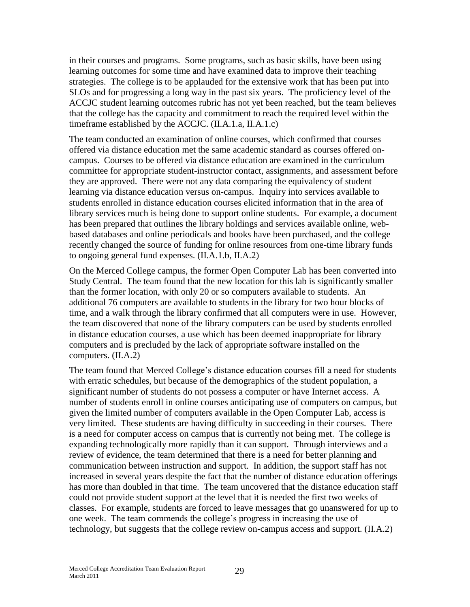in their courses and programs. Some programs, such as basic skills, have been using learning outcomes for some time and have examined data to improve their teaching strategies. The college is to be applauded for the extensive work that has been put into SLOs and for progressing a long way in the past six years. The proficiency level of the ACCJC student learning outcomes rubric has not yet been reached, but the team believes that the college has the capacity and commitment to reach the required level within the timeframe established by the ACCJC. (II.A.1.a, II.A.1.c)

The team conducted an examination of online courses, which confirmed that courses offered via distance education met the same academic standard as courses offered oncampus. Courses to be offered via distance education are examined in the curriculum committee for appropriate student-instructor contact, assignments, and assessment before they are approved. There were not any data comparing the equivalency of student learning via distance education versus on-campus. Inquiry into services available to students enrolled in distance education courses elicited information that in the area of library services much is being done to support online students. For example, a document has been prepared that outlines the library holdings and services available online, webbased databases and online periodicals and books have been purchased, and the college recently changed the source of funding for online resources from one-time library funds to ongoing general fund expenses. (II.A.1.b, II.A.2)

On the Merced College campus, the former Open Computer Lab has been converted into Study Central. The team found that the new location for this lab is significantly smaller than the former location, with only 20 or so computers available to students. An additional 76 computers are available to students in the library for two hour blocks of time, and a walk through the library confirmed that all computers were in use. However, the team discovered that none of the library computers can be used by students enrolled in distance education courses, a use which has been deemed inappropriate for library computers and is precluded by the lack of appropriate software installed on the computers. (II.A.2)

The team found that Merced College's distance education courses fill a need for students with erratic schedules, but because of the demographics of the student population, a significant number of students do not possess a computer or have Internet access. A number of students enroll in online courses anticipating use of computers on campus, but given the limited number of computers available in the Open Computer Lab, access is very limited. These students are having difficulty in succeeding in their courses. There is a need for computer access on campus that is currently not being met. The college is expanding technologically more rapidly than it can support. Through interviews and a review of evidence, the team determined that there is a need for better planning and communication between instruction and support. In addition, the support staff has not increased in several years despite the fact that the number of distance education offerings has more than doubled in that time. The team uncovered that the distance education staff could not provide student support at the level that it is needed the first two weeks of classes. For example, students are forced to leave messages that go unanswered for up to one week. The team commends the college's progress in increasing the use of technology, but suggests that the college review on-campus access and support. (II.A.2)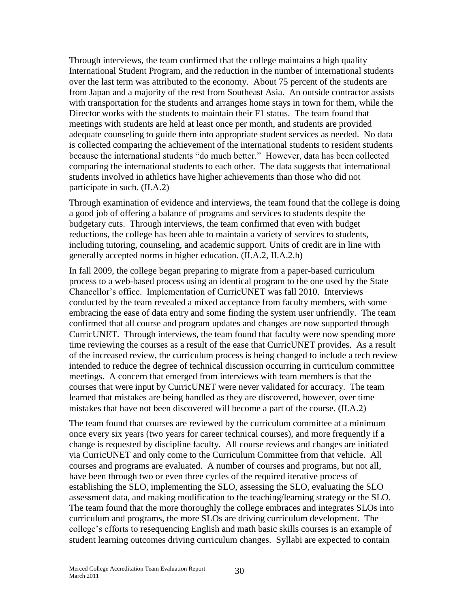Through interviews, the team confirmed that the college maintains a high quality International Student Program, and the reduction in the number of international students over the last term was attributed to the economy. About 75 percent of the students are from Japan and a majority of the rest from Southeast Asia. An outside contractor assists with transportation for the students and arranges home stays in town for them, while the Director works with the students to maintain their F1 status. The team found that meetings with students are held at least once per month, and students are provided adequate counseling to guide them into appropriate student services as needed. No data is collected comparing the achievement of the international students to resident students because the international students "do much better." However, data has been collected comparing the international students to each other. The data suggests that international students involved in athletics have higher achievements than those who did not participate in such. (II.A.2)

Through examination of evidence and interviews, the team found that the college is doing a good job of offering a balance of programs and services to students despite the budgetary cuts. Through interviews, the team confirmed that even with budget reductions, the college has been able to maintain a variety of services to students, including tutoring, counseling, and academic support. Units of credit are in line with generally accepted norms in higher education. (II.A.2, II.A.2.h)

In fall 2009, the college began preparing to migrate from a paper-based curriculum process to a web-based process using an identical program to the one used by the State Chancellor's office. Implementation of CurricUNET was fall 2010. Interviews conducted by the team revealed a mixed acceptance from faculty members, with some embracing the ease of data entry and some finding the system user unfriendly. The team confirmed that all course and program updates and changes are now supported through CurricUNET. Through interviews, the team found that faculty were now spending more time reviewing the courses as a result of the ease that CurricUNET provides. As a result of the increased review, the curriculum process is being changed to include a tech review intended to reduce the degree of technical discussion occurring in curriculum committee meetings. A concern that emerged from interviews with team members is that the courses that were input by CurricUNET were never validated for accuracy. The team learned that mistakes are being handled as they are discovered, however, over time mistakes that have not been discovered will become a part of the course. (II.A.2)

The team found that courses are reviewed by the curriculum committee at a minimum once every six years (two years for career technical courses), and more frequently if a change is requested by discipline faculty. All course reviews and changes are initiated via CurricUNET and only come to the Curriculum Committee from that vehicle. All courses and programs are evaluated. A number of courses and programs, but not all, have been through two or even three cycles of the required iterative process of establishing the SLO, implementing the SLO, assessing the SLO, evaluating the SLO assessment data, and making modification to the teaching/learning strategy or the SLO. The team found that the more thoroughly the college embraces and integrates SLOs into curriculum and programs, the more SLOs are driving curriculum development. The college's efforts to resequencing English and math basic skills courses is an example of student learning outcomes driving curriculum changes. Syllabi are expected to contain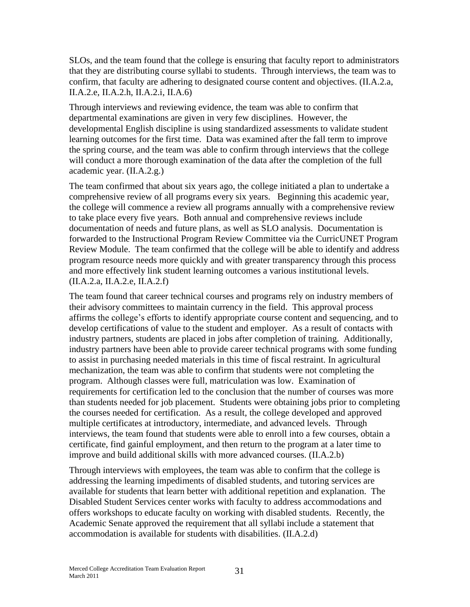SLOs, and the team found that the college is ensuring that faculty report to administrators that they are distributing course syllabi to students. Through interviews, the team was to confirm, that faculty are adhering to designated course content and objectives. (II.A.2.a, II.A.2.e, II.A.2.h, II.A.2.i, II.A.6)

Through interviews and reviewing evidence, the team was able to confirm that departmental examinations are given in very few disciplines. However, the developmental English discipline is using standardized assessments to validate student learning outcomes for the first time. Data was examined after the fall term to improve the spring course, and the team was able to confirm through interviews that the college will conduct a more thorough examination of the data after the completion of the full academic year. (II.A.2.g.)

The team confirmed that about six years ago, the college initiated a plan to undertake a comprehensive review of all programs every six years. Beginning this academic year, the college will commence a review all programs annually with a comprehensive review to take place every five years. Both annual and comprehensive reviews include documentation of needs and future plans, as well as SLO analysis. Documentation is forwarded to the Instructional Program Review Committee via the CurricUNET Program Review Module. The team confirmed that the college will be able to identify and address program resource needs more quickly and with greater transparency through this process and more effectively link student learning outcomes a various institutional levels. (II.A.2.a, II.A.2.e, II.A.2.f)

The team found that career technical courses and programs rely on industry members of their advisory committees to maintain currency in the field. This approval process affirms the college's efforts to identify appropriate course content and sequencing, and to develop certifications of value to the student and employer. As a result of contacts with industry partners, students are placed in jobs after completion of training. Additionally, industry partners have been able to provide career technical programs with some funding to assist in purchasing needed materials in this time of fiscal restraint. In agricultural mechanization, the team was able to confirm that students were not completing the program. Although classes were full, matriculation was low. Examination of requirements for certification led to the conclusion that the number of courses was more than students needed for job placement. Students were obtaining jobs prior to completing the courses needed for certification. As a result, the college developed and approved multiple certificates at introductory, intermediate, and advanced levels. Through interviews, the team found that students were able to enroll into a few courses, obtain a certificate, find gainful employment, and then return to the program at a later time to improve and build additional skills with more advanced courses. (II.A.2.b)

Through interviews with employees, the team was able to confirm that the college is addressing the learning impediments of disabled students, and tutoring services are available for students that learn better with additional repetition and explanation. The Disabled Student Services center works with faculty to address accommodations and offers workshops to educate faculty on working with disabled students. Recently, the Academic Senate approved the requirement that all syllabi include a statement that accommodation is available for students with disabilities. (II.A.2.d)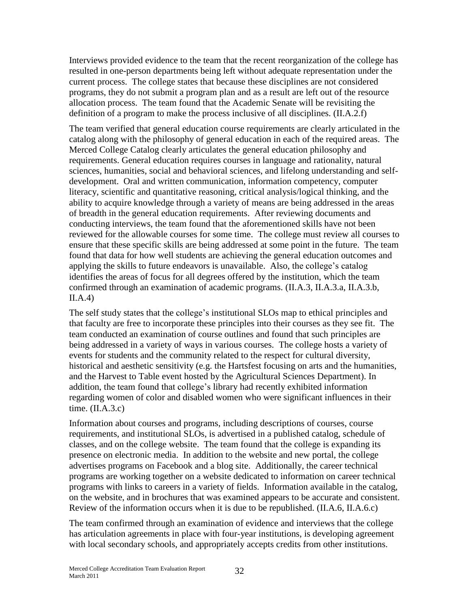Interviews provided evidence to the team that the recent reorganization of the college has resulted in one-person departments being left without adequate representation under the current process. The college states that because these disciplines are not considered programs, they do not submit a program plan and as a result are left out of the resource allocation process. The team found that the Academic Senate will be revisiting the definition of a program to make the process inclusive of all disciplines. (II.A.2.f)

The team verified that general education course requirements are clearly articulated in the catalog along with the philosophy of general education in each of the required areas. The Merced College Catalog clearly articulates the general education philosophy and requirements. General education requires courses in language and rationality, natural sciences, humanities, social and behavioral sciences, and lifelong understanding and selfdevelopment. Oral and written communication, information competency, computer literacy, scientific and quantitative reasoning, critical analysis/logical thinking, and the ability to acquire knowledge through a variety of means are being addressed in the areas of breadth in the general education requirements. After reviewing documents and conducting interviews, the team found that the aforementioned skills have not been reviewed for the allowable courses for some time. The college must review all courses to ensure that these specific skills are being addressed at some point in the future. The team found that data for how well students are achieving the general education outcomes and applying the skills to future endeavors is unavailable. Also, the college's catalog identifies the areas of focus for all degrees offered by the institution, which the team confirmed through an examination of academic programs. (II.A.3, II.A.3.a, II.A.3.b,  $II.A.4$ )

The self study states that the college's institutional SLOs map to ethical principles and that faculty are free to incorporate these principles into their courses as they see fit. The team conducted an examination of course outlines and found that such principles are being addressed in a variety of ways in various courses. The college hosts a variety of events for students and the community related to the respect for cultural diversity, historical and aesthetic sensitivity (e.g. the Hartsfest focusing on arts and the humanities, and the Harvest to Table event hosted by the Agricultural Sciences Department). In addition, the team found that college's library had recently exhibited information regarding women of color and disabled women who were significant influences in their time.  $(II.A.3.c)$ 

Information about courses and programs, including descriptions of courses, course requirements, and institutional SLOs, is advertised in a published catalog, schedule of classes, and on the college website. The team found that the college is expanding its presence on electronic media. In addition to the website and new portal, the college advertises programs on Facebook and a blog site. Additionally, the career technical programs are working together on a website dedicated to information on career technical programs with links to careers in a variety of fields. Information available in the catalog, on the website, and in brochures that was examined appears to be accurate and consistent. Review of the information occurs when it is due to be republished. (II.A.6, II.A.6.c)

The team confirmed through an examination of evidence and interviews that the college has articulation agreements in place with four-year institutions, is developing agreement with local secondary schools, and appropriately accepts credits from other institutions.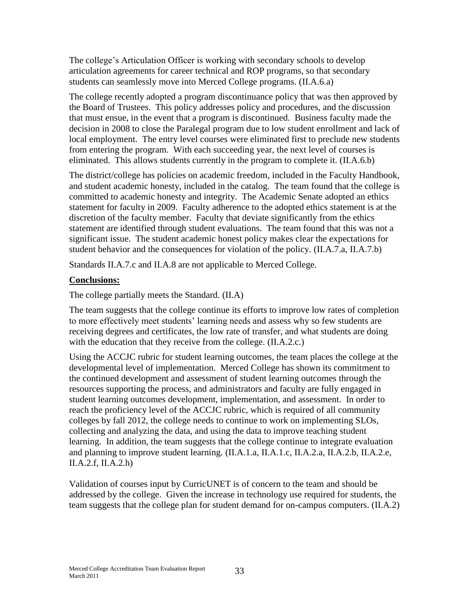The college's Articulation Officer is working with secondary schools to develop articulation agreements for career technical and ROP programs, so that secondary students can seamlessly move into Merced College programs. (II.A.6.a)

The college recently adopted a program discontinuance policy that was then approved by the Board of Trustees. This policy addresses policy and procedures, and the discussion that must ensue, in the event that a program is discontinued. Business faculty made the decision in 2008 to close the Paralegal program due to low student enrollment and lack of local employment. The entry level courses were eliminated first to preclude new students from entering the program. With each succeeding year, the next level of courses is eliminated. This allows students currently in the program to complete it. (II.A.6.b)

The district/college has policies on academic freedom, included in the Faculty Handbook, and student academic honesty, included in the catalog. The team found that the college is committed to academic honesty and integrity. The Academic Senate adopted an ethics statement for faculty in 2009. Faculty adherence to the adopted ethics statement is at the discretion of the faculty member. Faculty that deviate significantly from the ethics statement are identified through student evaluations. The team found that this was not a significant issue. The student academic honest policy makes clear the expectations for student behavior and the consequences for violation of the policy. (II.A.7.a, II.A.7.b)

Standards II.A.7.c and II.A.8 are not applicable to Merced College.

#### **Conclusions:**

The college partially meets the Standard. (II.A)

The team suggests that the college continue its efforts to improve low rates of completion to more effectively meet students' learning needs and assess why so few students are receiving degrees and certificates, the low rate of transfer, and what students are doing with the education that they receive from the college. (II.A.2.c.)

Using the ACCJC rubric for student learning outcomes, the team places the college at the developmental level of implementation. Merced College has shown its commitment to the continued development and assessment of student learning outcomes through the resources supporting the process, and administrators and faculty are fully engaged in student learning outcomes development, implementation, and assessment. In order to reach the proficiency level of the ACCJC rubric, which is required of all community colleges by fall 2012, the college needs to continue to work on implementing SLOs, collecting and analyzing the data, and using the data to improve teaching student learning. In addition, the team suggests that the college continue to integrate evaluation and planning to improve student learning. (II.A.1.a, II.A.1.c, II.A.2.a, II.A.2.b, II.A.2.e, II.A.2.f, II.A.2.h)

Validation of courses input by CurricUNET is of concern to the team and should be addressed by the college. Given the increase in technology use required for students, the team suggests that the college plan for student demand for on-campus computers. (II.A.2)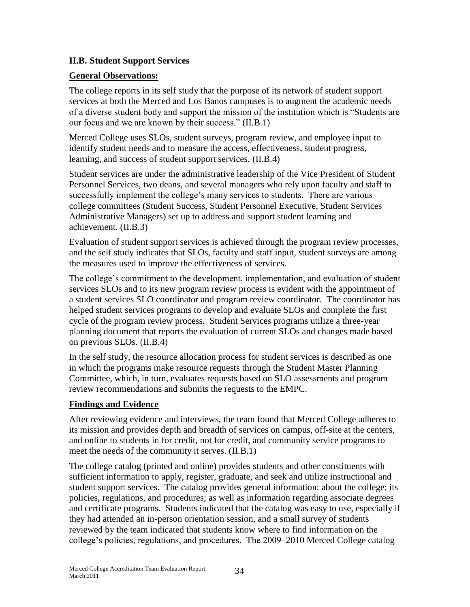#### **II.B. Student Support Services**

#### **General Observations:**

The college reports in its self study that the purpose of its network of student support services at both the Merced and Los Banos campuses is to augment the academic needs of a diverse student body and support the mission of the institution which is "Students are our focus and we are known by their success." (II.B.1)

Merced College uses SLOs, student surveys, program review, and employee input to identify student needs and to measure the access, effectiveness, student progress, learning, and success of student support services. (II.B.4)

Student services are under the administrative leadership of the Vice President of Student Personnel Services, two deans, and several managers who rely upon faculty and staff to successfully implement the college's many services to students. There are various college committees (Student Success, Student Personnel Executive, Student Services Administrative Managers) set up to address and support student learning and achievement. (II.B.3)

Evaluation of student support services is achieved through the program review processes, and the self study indicates that SLOs, faculty and staff input, student surveys are among the measures used to improve the effectiveness of services.

The college's commitment to the development, implementation, and evaluation of student services SLOs and to its new program review process is evident with the appointment of a student services SLO coordinator and program review coordinator. The coordinator has helped student services programs to develop and evaluate SLOs and complete the first cycle of the program review process. Student Services programs utilize a three-year planning document that reports the evaluation of current SLOs and changes made based on previous SLOs. (II.B.4)

In the self study, the resource allocation process for student services is described as one in which the programs make resource requests through the Student Master Planning Committee, which, in turn, evaluates requests based on SLO assessments and program review recommendations and submits the requests to the EMPC.

#### **Findings and Evidence**

After reviewing evidence and interviews, the team found that Merced College adheres to its mission and provides depth and breadth of services on campus, off-site at the centers, and online to students in for credit, not for credit, and community service programs to meet the needs of the community it serves. (II.B.1)

The college catalog (printed and online) provides students and other constituents with sufficient information to apply, register, graduate, and seek and utilize instructional and student support services. The catalog provides general information: about the college; its policies, regulations, and procedures; as well as information regarding associate degrees and certificate programs. Students indicated that the catalog was easy to use, especially if they had attended an in-person orientation session, and a small survey of students reviewed by the team indicated that students know where to find information on the college's policies, regulations, and procedures. The 2009–2010 Merced College catalog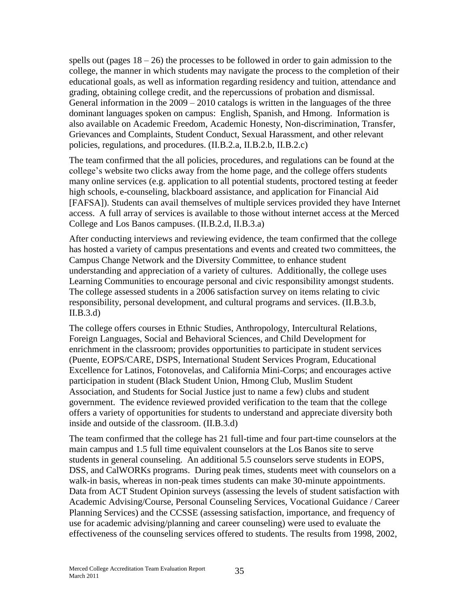spells out (pages  $18 - 26$ ) the processes to be followed in order to gain admission to the college, the manner in which students may navigate the process to the completion of their educational goals, as well as information regarding residency and tuition, attendance and grading, obtaining college credit, and the repercussions of probation and dismissal. General information in the  $2009 - 2010$  catalogs is written in the languages of the three dominant languages spoken on campus: English, Spanish, and Hmong. Information is also available on Academic Freedom, Academic Honesty, Non-discrimination, Transfer, Grievances and Complaints, Student Conduct, Sexual Harassment, and other relevant policies, regulations, and procedures. (II.B.2.a, II.B.2.b, II.B.2.c)

The team confirmed that the all policies, procedures, and regulations can be found at the college's website two clicks away from the home page, and the college offers students many online services (e.g. application to all potential students, proctored testing at feeder high schools, e-counseling, blackboard assistance, and application for Financial Aid [FAFSA]). Students can avail themselves of multiple services provided they have Internet access. A full array of services is available to those without internet access at the Merced College and Los Banos campuses. (II.B.2.d, II.B.3.a)

After conducting interviews and reviewing evidence, the team confirmed that the college has hosted a variety of campus presentations and events and created two committees, the Campus Change Network and the Diversity Committee, to enhance student understanding and appreciation of a variety of cultures. Additionally, the college uses Learning Communities to encourage personal and civic responsibility amongst students. The college assessed students in a 2006 satisfaction survey on items relating to civic responsibility, personal development, and cultural programs and services. (II.B.3.b, II.B.3.d)

The college offers courses in Ethnic Studies, Anthropology, Intercultural Relations, Foreign Languages, Social and Behavioral Sciences, and Child Development for enrichment in the classroom; provides opportunities to participate in student services (Puente, EOPS/CARE, DSPS, International Student Services Program, Educational Excellence for Latinos, Fotonovelas, and California Mini-Corps; and encourages active participation in student (Black Student Union, Hmong Club, Muslim Student Association, and Students for Social Justice just to name a few) clubs and student government. The evidence reviewed provided verification to the team that the college offers a variety of opportunities for students to understand and appreciate diversity both inside and outside of the classroom. (II.B.3.d)

The team confirmed that the college has 21 full-time and four part-time counselors at the main campus and 1.5 full time equivalent counselors at the Los Banos site to serve students in general counseling. An additional 5.5 counselors serve students in EOPS, DSS, and CalWORKs programs. During peak times, students meet with counselors on a walk-in basis, whereas in non-peak times students can make 30-minute appointments. Data from ACT Student Opinion surveys (assessing the levels of student satisfaction with Academic Advising/Course, Personal Counseling Services, Vocational Guidance / Career Planning Services) and the CCSSE (assessing satisfaction, importance, and frequency of use for academic advising/planning and career counseling) were used to evaluate the effectiveness of the counseling services offered to students. The results from 1998, 2002,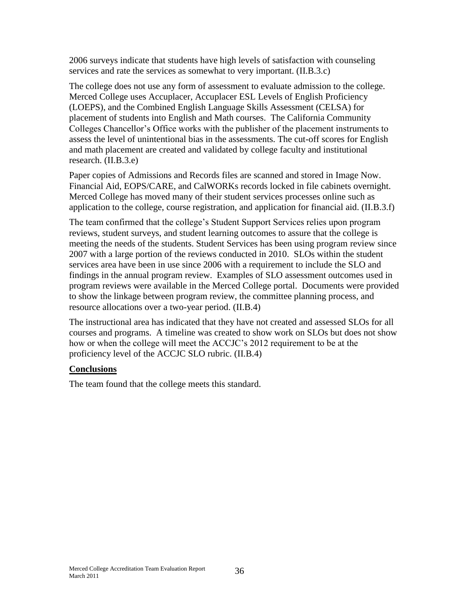2006 surveys indicate that students have high levels of satisfaction with counseling services and rate the services as somewhat to very important. (II.B.3.c)

The college does not use any form of assessment to evaluate admission to the college. Merced College uses Accuplacer, Accuplacer ESL Levels of English Proficiency (LOEPS), and the Combined English Language Skills Assessment (CELSA) for placement of students into English and Math courses. The California Community Colleges Chancellor's Office works with the publisher of the placement instruments to assess the level of unintentional bias in the assessments. The cut-off scores for English and math placement are created and validated by college faculty and institutional research. (II.B.3.e)

Paper copies of Admissions and Records files are scanned and stored in Image Now. Financial Aid, EOPS/CARE, and CalWORKs records locked in file cabinets overnight. Merced College has moved many of their student services processes online such as application to the college, course registration, and application for financial aid. (II.B.3.f)

The team confirmed that the college's Student Support Services relies upon program reviews, student surveys, and student learning outcomes to assure that the college is meeting the needs of the students. Student Services has been using program review since 2007 with a large portion of the reviews conducted in 2010. SLOs within the student services area have been in use since 2006 with a requirement to include the SLO and findings in the annual program review. Examples of SLO assessment outcomes used in program reviews were available in the Merced College portal. Documents were provided to show the linkage between program review, the committee planning process, and resource allocations over a two-year period. (II.B.4)

The instructional area has indicated that they have not created and assessed SLOs for all courses and programs. A timeline was created to show work on SLOs but does not show how or when the college will meet the ACCJC's 2012 requirement to be at the proficiency level of the ACCJC SLO rubric. (II.B.4)

#### **Conclusions**

The team found that the college meets this standard.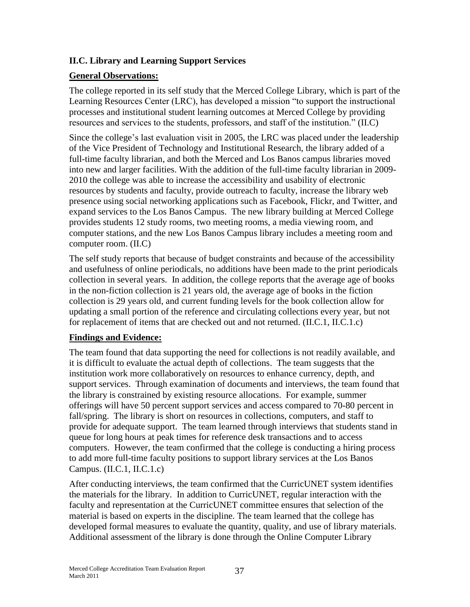#### **II.C. Library and Learning Support Services**

#### **General Observations:**

The college reported in its self study that the Merced College Library, which is part of the Learning Resources Center (LRC), has developed a mission "to support the instructional processes and institutional student learning outcomes at Merced College by providing resources and services to the students, professors, and staff of the institution." (II.C)

Since the college's last evaluation visit in 2005, the LRC was placed under the leadership of the Vice President of Technology and Institutional Research, the library added of a full-time faculty librarian, and both the Merced and Los Banos campus libraries moved into new and larger facilities. With the addition of the full-time faculty librarian in 2009- 2010 the college was able to increase the accessibility and usability of electronic resources by students and faculty, provide outreach to faculty, increase the library web presence using social networking applications such as Facebook, Flickr, and Twitter, and expand services to the Los Banos Campus. The new library building at Merced College provides students 12 study rooms, two meeting rooms, a media viewing room, and computer stations, and the new Los Banos Campus library includes a meeting room and computer room. (II.C)

The self study reports that because of budget constraints and because of the accessibility and usefulness of online periodicals, no additions have been made to the print periodicals collection in several years. In addition, the college reports that the average age of books in the non-fiction collection is 21 years old, the average age of books in the fiction collection is 29 years old, and current funding levels for the book collection allow for updating a small portion of the reference and circulating collections every year, but not for replacement of items that are checked out and not returned. (II.C.1, II.C.1.c)

#### **Findings and Evidence:**

The team found that data supporting the need for collections is not readily available, and it is difficult to evaluate the actual depth of collections. The team suggests that the institution work more collaboratively on resources to enhance currency, depth, and support services. Through examination of documents and interviews, the team found that the library is constrained by existing resource allocations. For example, summer offerings will have 50 percent support services and access compared to 70-80 percent in fall/spring. The library is short on resources in collections, computers, and staff to provide for adequate support. The team learned through interviews that students stand in queue for long hours at peak times for reference desk transactions and to access computers. However, the team confirmed that the college is conducting a hiring process to add more full-time faculty positions to support library services at the Los Banos Campus. (II.C.1, II.C.1.c)

After conducting interviews, the team confirmed that the CurricUNET system identifies the materials for the library. In addition to CurricUNET, regular interaction with the faculty and representation at the CurricUNET committee ensures that selection of the material is based on experts in the discipline. The team learned that the college has developed formal measures to evaluate the quantity, quality, and use of library materials. Additional assessment of the library is done through the Online Computer Library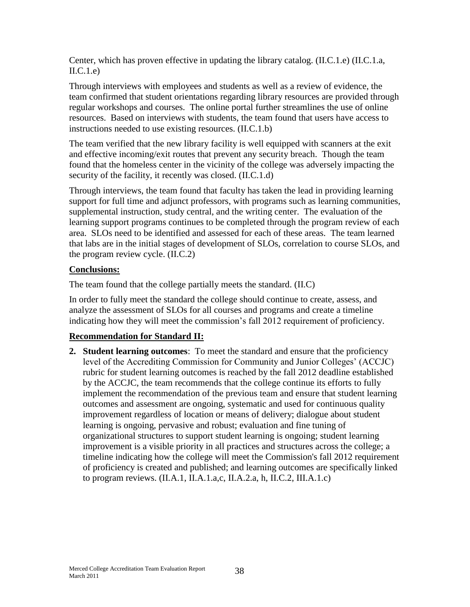Center, which has proven effective in updating the library catalog. (II.C.1.e) (II.C.1.a,  $\text{II.C.1.e.}$ 

Through interviews with employees and students as well as a review of evidence, the team confirmed that student orientations regarding library resources are provided through regular workshops and courses. The online portal further streamlines the use of online resources. Based on interviews with students, the team found that users have access to instructions needed to use existing resources. (II.C.1.b)

The team verified that the new library facility is well equipped with scanners at the exit and effective incoming/exit routes that prevent any security breach. Though the team found that the homeless center in the vicinity of the college was adversely impacting the security of the facility, it recently was closed. (II.C.1.d)

Through interviews, the team found that faculty has taken the lead in providing learning support for full time and adjunct professors, with programs such as learning communities, supplemental instruction, study central, and the writing center. The evaluation of the learning support programs continues to be completed through the program review of each area. SLOs need to be identified and assessed for each of these areas. The team learned that labs are in the initial stages of development of SLOs, correlation to course SLOs, and the program review cycle. (II.C.2)

#### **Conclusions:**

The team found that the college partially meets the standard. (II.C)

In order to fully meet the standard the college should continue to create, assess, and analyze the assessment of SLOs for all courses and programs and create a timeline indicating how they will meet the commission's fall 2012 requirement of proficiency.

#### **Recommendation for Standard II:**

**2. Student learning outcomes**: To meet the standard and ensure that the proficiency level of the Accrediting Commission for Community and Junior Colleges' (ACCJC) rubric for student learning outcomes is reached by the fall 2012 deadline established by the ACCJC, the team recommends that the college continue its efforts to fully implement the recommendation of the previous team and ensure that student learning outcomes and assessment are ongoing, systematic and used for continuous quality improvement regardless of location or means of delivery; dialogue about student learning is ongoing, pervasive and robust; evaluation and fine tuning of organizational structures to support student learning is ongoing; student learning improvement is a visible priority in all practices and structures across the college; a timeline indicating how the college will meet the Commission's fall 2012 requirement of proficiency is created and published; and learning outcomes are specifically linked to program reviews. (II.A.1, II.A.1.a,c, II.A.2.a, h, II.C.2, III.A.1.c)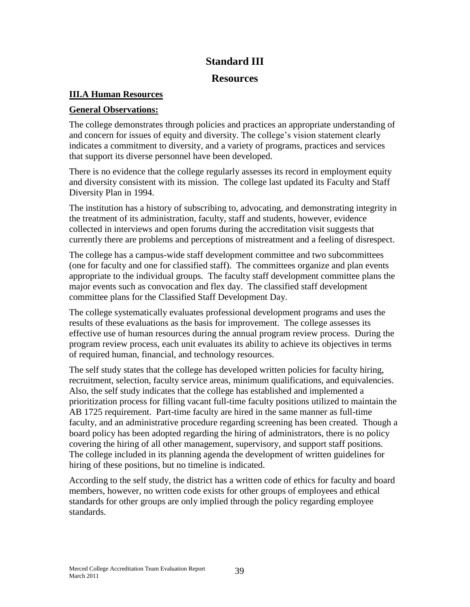## **Standard III**

#### **Resources**

## **III.A Human Resources**

### **General Observations:**

The college demonstrates through policies and practices an appropriate understanding of and concern for issues of equity and diversity. The college's vision statement clearly indicates a commitment to diversity, and a variety of programs, practices and services that support its diverse personnel have been developed.

There is no evidence that the college regularly assesses its record in employment equity and diversity consistent with its mission. The college last updated its Faculty and Staff Diversity Plan in 1994.

The institution has a history of subscribing to, advocating, and demonstrating integrity in the treatment of its administration, faculty, staff and students, however, evidence collected in interviews and open forums during the accreditation visit suggests that currently there are problems and perceptions of mistreatment and a feeling of disrespect.

The college has a campus-wide staff development committee and two subcommittees (one for faculty and one for classified staff). The committees organize and plan events appropriate to the individual groups. The faculty staff development committee plans the major events such as convocation and flex day. The classified staff development committee plans for the Classified Staff Development Day.

The college systematically evaluates professional development programs and uses the results of these evaluations as the basis for improvement. The college assesses its effective use of human resources during the annual program review process. During the program review process, each unit evaluates its ability to achieve its objectives in terms of required human, financial, and technology resources.

The self study states that the college has developed written policies for faculty hiring, recruitment, selection, faculty service areas, minimum qualifications, and equivalencies. Also, the self study indicates that the college has established and implemented a prioritization process for filling vacant full-time faculty positions utilized to maintain the AB 1725 requirement. Part-time faculty are hired in the same manner as full-time faculty, and an administrative procedure regarding screening has been created. Though a board policy has been adopted regarding the hiring of administrators, there is no policy covering the hiring of all other management, supervisory, and support staff positions. The college included in its planning agenda the development of written guidelines for hiring of these positions, but no timeline is indicated.

According to the self study, the district has a written code of ethics for faculty and board members, however, no written code exists for other groups of employees and ethical standards for other groups are only implied through the policy regarding employee standards.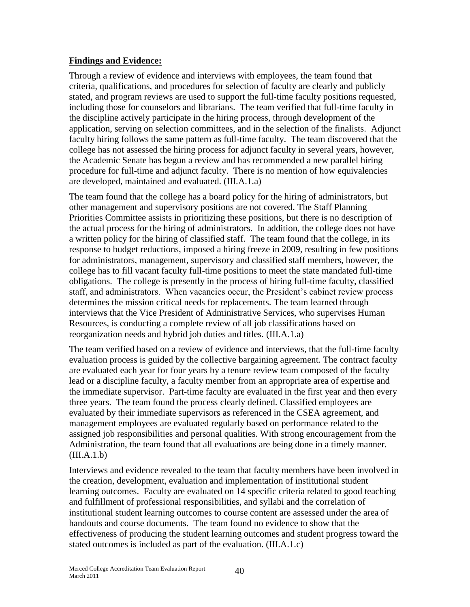#### **Findings and Evidence:**

Through a review of evidence and interviews with employees, the team found that criteria, qualifications, and procedures for selection of faculty are clearly and publicly stated, and program reviews are used to support the full-time faculty positions requested, including those for counselors and librarians. The team verified that full-time faculty in the discipline actively participate in the hiring process, through development of the application, serving on selection committees, and in the selection of the finalists. Adjunct faculty hiring follows the same pattern as full-time faculty. The team discovered that the college has not assessed the hiring process for adjunct faculty in several years, however, the Academic Senate has begun a review and has recommended a new parallel hiring procedure for full-time and adjunct faculty. There is no mention of how equivalencies are developed, maintained and evaluated. (III.A.1.a)

The team found that the college has a board policy for the hiring of administrators, but other management and supervisory positions are not covered. The Staff Planning Priorities Committee assists in prioritizing these positions, but there is no description of the actual process for the hiring of administrators. In addition, the college does not have a written policy for the hiring of classified staff. The team found that the college, in its response to budget reductions, imposed a hiring freeze in 2009, resulting in few positions for administrators, management, supervisory and classified staff members, however, the college has to fill vacant faculty full-time positions to meet the state mandated full-time obligations. The college is presently in the process of hiring full-time faculty, classified staff, and administrators. When vacancies occur, the President's cabinet review process determines the mission critical needs for replacements. The team learned through interviews that the Vice President of Administrative Services, who supervises Human Resources, is conducting a complete review of all job classifications based on reorganization needs and hybrid job duties and titles. (III.A.1.a)

The team verified based on a review of evidence and interviews, that the full-time faculty evaluation process is guided by the collective bargaining agreement. The contract faculty are evaluated each year for four years by a tenure review team composed of the faculty lead or a discipline faculty, a faculty member from an appropriate area of expertise and the immediate supervisor. Part-time faculty are evaluated in the first year and then every three years. The team found the process clearly defined. Classified employees are evaluated by their immediate supervisors as referenced in the CSEA agreement, and management employees are evaluated regularly based on performance related to the assigned job responsibilities and personal qualities. With strong encouragement from the Administration, the team found that all evaluations are being done in a timely manner.  $(III.A.1.b)$ 

Interviews and evidence revealed to the team that faculty members have been involved in the creation, development, evaluation and implementation of institutional student learning outcomes. Faculty are evaluated on 14 specific criteria related to good teaching and fulfillment of professional responsibilities, and syllabi and the correlation of institutional student learning outcomes to course content are assessed under the area of handouts and course documents. The team found no evidence to show that the effectiveness of producing the student learning outcomes and student progress toward the stated outcomes is included as part of the evaluation. (III.A.1.c)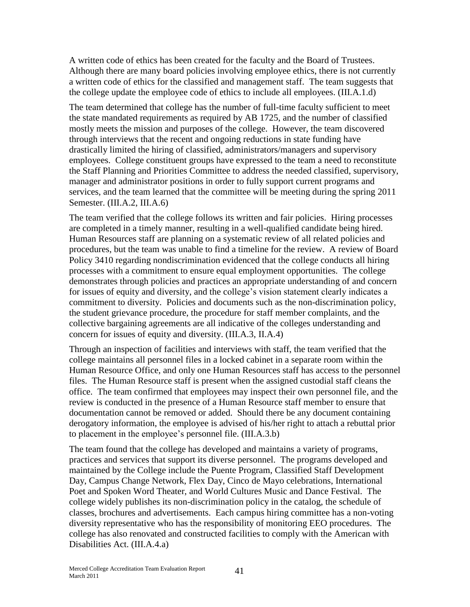A written code of ethics has been created for the faculty and the Board of Trustees. Although there are many board policies involving employee ethics, there is not currently a written code of ethics for the classified and management staff. The team suggests that the college update the employee code of ethics to include all employees. (III.A.1.d)

The team determined that college has the number of full-time faculty sufficient to meet the state mandated requirements as required by AB 1725, and the number of classified mostly meets the mission and purposes of the college. However, the team discovered through interviews that the recent and ongoing reductions in state funding have drastically limited the hiring of classified, administrators/managers and supervisory employees. College constituent groups have expressed to the team a need to reconstitute the Staff Planning and Priorities Committee to address the needed classified, supervisory, manager and administrator positions in order to fully support current programs and services, and the team learned that the committee will be meeting during the spring 2011 Semester. (III.A.2, III.A.6)

The team verified that the college follows its written and fair policies. Hiring processes are completed in a timely manner, resulting in a well-qualified candidate being hired. Human Resources staff are planning on a systematic review of all related policies and procedures, but the team was unable to find a timeline for the review. A review of Board Policy 3410 regarding nondiscrimination evidenced that the college conducts all hiring processes with a commitment to ensure equal employment opportunities. The college demonstrates through policies and practices an appropriate understanding of and concern for issues of equity and diversity, and the college's vision statement clearly indicates a commitment to diversity. Policies and documents such as the non-discrimination policy, the student grievance procedure, the procedure for staff member complaints, and the collective bargaining agreements are all indicative of the colleges understanding and concern for issues of equity and diversity. (III.A.3, II.A.4)

Through an inspection of facilities and interviews with staff, the team verified that the college maintains all personnel files in a locked cabinet in a separate room within the Human Resource Office, and only one Human Resources staff has access to the personnel files. The Human Resource staff is present when the assigned custodial staff cleans the office. The team confirmed that employees may inspect their own personnel file, and the review is conducted in the presence of a Human Resource staff member to ensure that documentation cannot be removed or added. Should there be any document containing derogatory information, the employee is advised of his/her right to attach a rebuttal prior to placement in the employee's personnel file. (III.A.3.b)

The team found that the college has developed and maintains a variety of programs, practices and services that support its diverse personnel. The programs developed and maintained by the College include the Puente Program, Classified Staff Development Day, Campus Change Network, Flex Day, Cinco de Mayo celebrations, International Poet and Spoken Word Theater, and World Cultures Music and Dance Festival. The college widely publishes its non-discrimination policy in the catalog, the schedule of classes, brochures and advertisements. Each campus hiring committee has a non-voting diversity representative who has the responsibility of monitoring EEO procedures. The college has also renovated and constructed facilities to comply with the American with Disabilities Act. (III.A.4.a)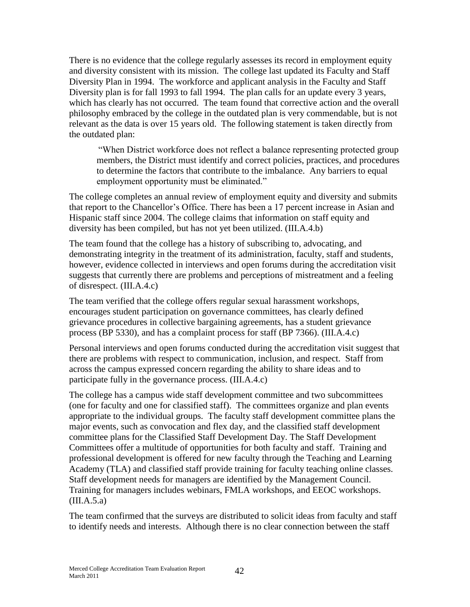There is no evidence that the college regularly assesses its record in employment equity and diversity consistent with its mission. The college last updated its Faculty and Staff Diversity Plan in 1994. The workforce and applicant analysis in the Faculty and Staff Diversity plan is for fall 1993 to fall 1994. The plan calls for an update every 3 years, which has clearly has not occurred. The team found that corrective action and the overall philosophy embraced by the college in the outdated plan is very commendable, but is not relevant as the data is over 15 years old. The following statement is taken directly from the outdated plan:

―When District workforce does not reflect a balance representing protected group members, the District must identify and correct policies, practices, and procedures to determine the factors that contribute to the imbalance. Any barriers to equal employment opportunity must be eliminated."

The college completes an annual review of employment equity and diversity and submits that report to the Chancellor's Office. There has been a 17 percent increase in Asian and Hispanic staff since 2004. The college claims that information on staff equity and diversity has been compiled, but has not yet been utilized. (III.A.4.b)

The team found that the college has a history of subscribing to, advocating, and demonstrating integrity in the treatment of its administration, faculty, staff and students, however, evidence collected in interviews and open forums during the accreditation visit suggests that currently there are problems and perceptions of mistreatment and a feeling of disrespect. (III.A.4.c)

The team verified that the college offers regular sexual harassment workshops, encourages student participation on governance committees, has clearly defined grievance procedures in collective bargaining agreements, has a student grievance process (BP 5330), and has a complaint process for staff (BP 7366). (III.A.4.c)

Personal interviews and open forums conducted during the accreditation visit suggest that there are problems with respect to communication, inclusion, and respect. Staff from across the campus expressed concern regarding the ability to share ideas and to participate fully in the governance process. (III.A.4.c)

The college has a campus wide staff development committee and two subcommittees (one for faculty and one for classified staff). The committees organize and plan events appropriate to the individual groups. The faculty staff development committee plans the major events, such as convocation and flex day, and the classified staff development committee plans for the Classified Staff Development Day. The Staff Development Committees offer a multitude of opportunities for both faculty and staff. Training and professional development is offered for new faculty through the Teaching and Learning Academy (TLA) and classified staff provide training for faculty teaching online classes. Staff development needs for managers are identified by the Management Council. Training for managers includes webinars, FMLA workshops, and EEOC workshops.  $(III.A.5.a)$ 

The team confirmed that the surveys are distributed to solicit ideas from faculty and staff to identify needs and interests. Although there is no clear connection between the staff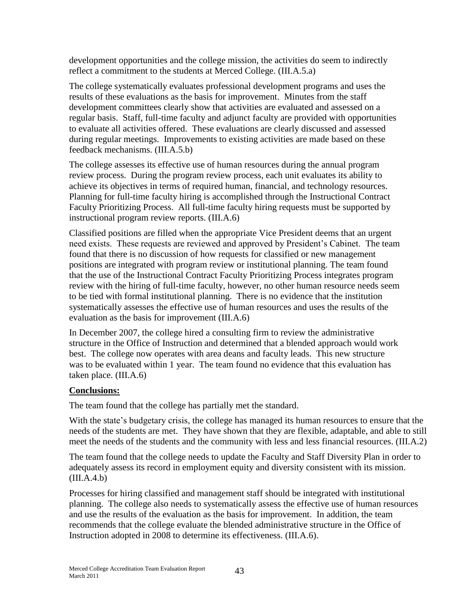development opportunities and the college mission, the activities do seem to indirectly reflect a commitment to the students at Merced College. (III.A.5.a)

The college systematically evaluates professional development programs and uses the results of these evaluations as the basis for improvement. Minutes from the staff development committees clearly show that activities are evaluated and assessed on a regular basis. Staff, full-time faculty and adjunct faculty are provided with opportunities to evaluate all activities offered. These evaluations are clearly discussed and assessed during regular meetings. Improvements to existing activities are made based on these feedback mechanisms. (III.A.5.b)

The college assesses its effective use of human resources during the annual program review process. During the program review process, each unit evaluates its ability to achieve its objectives in terms of required human, financial, and technology resources. Planning for full-time faculty hiring is accomplished through the Instructional Contract Faculty Prioritizing Process. All full-time faculty hiring requests must be supported by instructional program review reports. (III.A.6)

Classified positions are filled when the appropriate Vice President deems that an urgent need exists. These requests are reviewed and approved by President's Cabinet. The team found that there is no discussion of how requests for classified or new management positions are integrated with program review or institutional planning. The team found that the use of the Instructional Contract Faculty Prioritizing Process integrates program review with the hiring of full-time faculty, however, no other human resource needs seem to be tied with formal institutional planning. There is no evidence that the institution systematically assesses the effective use of human resources and uses the results of the evaluation as the basis for improvement (III.A.6)

In December 2007, the college hired a consulting firm to review the administrative structure in the Office of Instruction and determined that a blended approach would work best. The college now operates with area deans and faculty leads. This new structure was to be evaluated within 1 year. The team found no evidence that this evaluation has taken place. (III.A.6)

## **Conclusions:**

The team found that the college has partially met the standard.

With the state's budgetary crisis, the college has managed its human resources to ensure that the needs of the students are met. They have shown that they are flexible, adaptable, and able to still meet the needs of the students and the community with less and less financial resources. (III.A.2)

The team found that the college needs to update the Faculty and Staff Diversity Plan in order to adequately assess its record in employment equity and diversity consistent with its mission.  $(III.A.4.b)$ 

Processes for hiring classified and management staff should be integrated with institutional planning. The college also needs to systematically assess the effective use of human resources and use the results of the evaluation as the basis for improvement. In addition, the team recommends that the college evaluate the blended administrative structure in the Office of Instruction adopted in 2008 to determine its effectiveness. (III.A.6).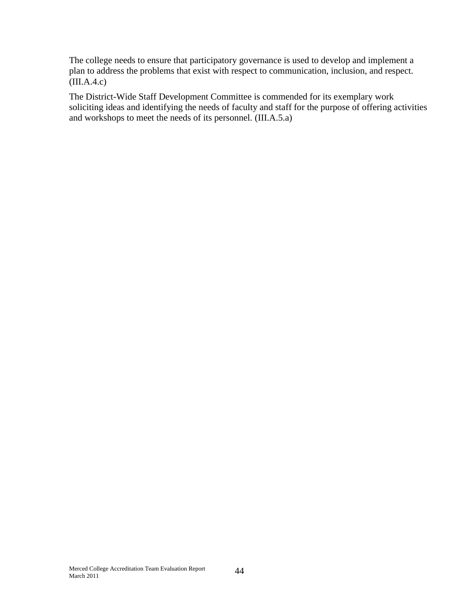The college needs to ensure that participatory governance is used to develop and implement a plan to address the problems that exist with respect to communication, inclusion, and respect. (III.A.4.c)

The District-Wide Staff Development Committee is commended for its exemplary work soliciting ideas and identifying the needs of faculty and staff for the purpose of offering activities and workshops to meet the needs of its personnel. (III.A.5.a)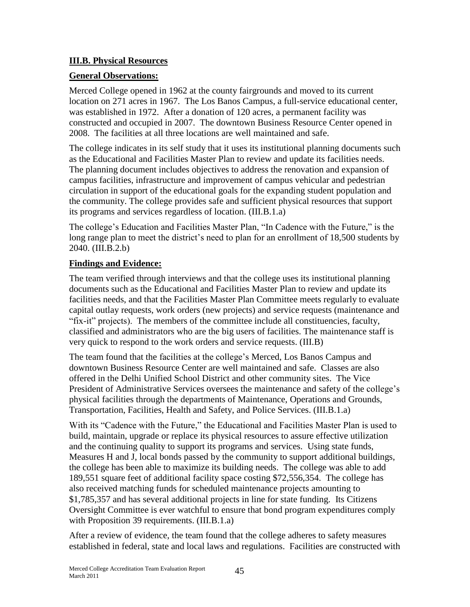#### **III.B. Physical Resources**

#### **General Observations:**

Merced College opened in 1962 at the county fairgrounds and moved to its current location on 271 acres in 1967. The Los Banos Campus, a full-service educational center, was established in 1972. After a donation of 120 acres, a permanent facility was constructed and occupied in 2007. The downtown Business Resource Center opened in 2008. The facilities at all three locations are well maintained and safe.

The college indicates in its self study that it uses its institutional planning documents such as the Educational and Facilities Master Plan to review and update its facilities needs. The planning document includes objectives to address the renovation and expansion of campus facilities, infrastructure and improvement of campus vehicular and pedestrian circulation in support of the educational goals for the expanding student population and the community. The college provides safe and sufficient physical resources that support its programs and services regardless of location. (III.B.1.a)

The college's Education and Facilities Master Plan, "In Cadence with the Future," is the long range plan to meet the district's need to plan for an enrollment of 18,500 students by 2040. (III.B.2.b)

#### **Findings and Evidence:**

The team verified through interviews and that the college uses its institutional planning documents such as the Educational and Facilities Master Plan to review and update its facilities needs, and that the Facilities Master Plan Committee meets regularly to evaluate capital outlay requests, work orders (new projects) and service requests (maintenance and ―fix-it‖ projects). The members of the committee include all constituencies, faculty, classified and administrators who are the big users of facilities. The maintenance staff is very quick to respond to the work orders and service requests. (III.B)

The team found that the facilities at the college's Merced, Los Banos Campus and downtown Business Resource Center are well maintained and safe. Classes are also offered in the Delhi Unified School District and other community sites. The Vice President of Administrative Services oversees the maintenance and safety of the college's physical facilities through the departments of Maintenance, Operations and Grounds, Transportation, Facilities, Health and Safety, and Police Services. (III.B.1.a)

With its "Cadence with the Future," the Educational and Facilities Master Plan is used to build, maintain, upgrade or replace its physical resources to assure effective utilization and the continuing quality to support its programs and services. Using state funds, Measures H and J, local bonds passed by the community to support additional buildings, the college has been able to maximize its building needs. The college was able to add 189,551 square feet of additional facility space costing \$72,556,354. The college has also received matching funds for scheduled maintenance projects amounting to \$1,785,357 and has several additional projects in line for state funding. Its Citizens Oversight Committee is ever watchful to ensure that bond program expenditures comply with Proposition 39 requirements. (III.B.1.a)

After a review of evidence, the team found that the college adheres to safety measures established in federal, state and local laws and regulations. Facilities are constructed with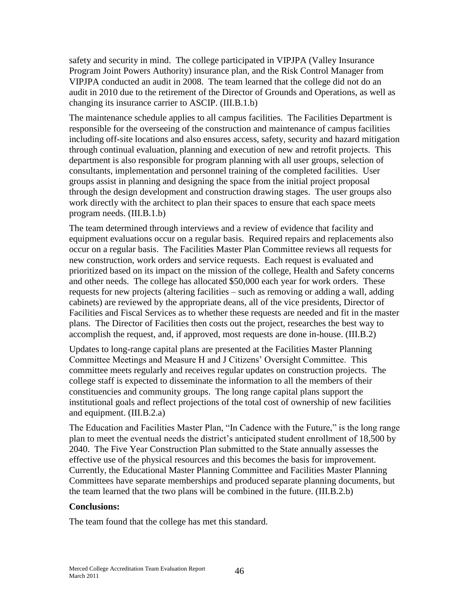safety and security in mind. The college participated in VIPJPA (Valley Insurance Program Joint Powers Authority) insurance plan, and the Risk Control Manager from VIPJPA conducted an audit in 2008. The team learned that the college did not do an audit in 2010 due to the retirement of the Director of Grounds and Operations, as well as changing its insurance carrier to ASCIP. (III.B.1.b)

The maintenance schedule applies to all campus facilities. The Facilities Department is responsible for the overseeing of the construction and maintenance of campus facilities including off-site locations and also ensures access, safety, security and hazard mitigation through continual evaluation, planning and execution of new and retrofit projects. This department is also responsible for program planning with all user groups, selection of consultants, implementation and personnel training of the completed facilities. User groups assist in planning and designing the space from the initial project proposal through the design development and construction drawing stages. The user groups also work directly with the architect to plan their spaces to ensure that each space meets program needs. (III.B.1.b)

The team determined through interviews and a review of evidence that facility and equipment evaluations occur on a regular basis. Required repairs and replacements also occur on a regular basis. The Facilities Master Plan Committee reviews all requests for new construction, work orders and service requests. Each request is evaluated and prioritized based on its impact on the mission of the college, Health and Safety concerns and other needs. The college has allocated \$50,000 each year for work orders. These requests for new projects (altering facilities – such as removing or adding a wall, adding cabinets) are reviewed by the appropriate deans, all of the vice presidents, Director of Facilities and Fiscal Services as to whether these requests are needed and fit in the master plans. The Director of Facilities then costs out the project, researches the best way to accomplish the request, and, if approved, most requests are done in-house. (III.B.2)

Updates to long-range capital plans are presented at the Facilities Master Planning Committee Meetings and Measure H and J Citizens' Oversight Committee. This committee meets regularly and receives regular updates on construction projects. The college staff is expected to disseminate the information to all the members of their constituencies and community groups. The long range capital plans support the institutional goals and reflect projections of the total cost of ownership of new facilities and equipment. (III.B.2.a)

The Education and Facilities Master Plan, "In Cadence with the Future," is the long range plan to meet the eventual needs the district's anticipated student enrollment of 18,500 by 2040. The Five Year Construction Plan submitted to the State annually assesses the effective use of the physical resources and this becomes the basis for improvement. Currently, the Educational Master Planning Committee and Facilities Master Planning Committees have separate memberships and produced separate planning documents, but the team learned that the two plans will be combined in the future. (III.B.2.b)

#### **Conclusions:**

The team found that the college has met this standard.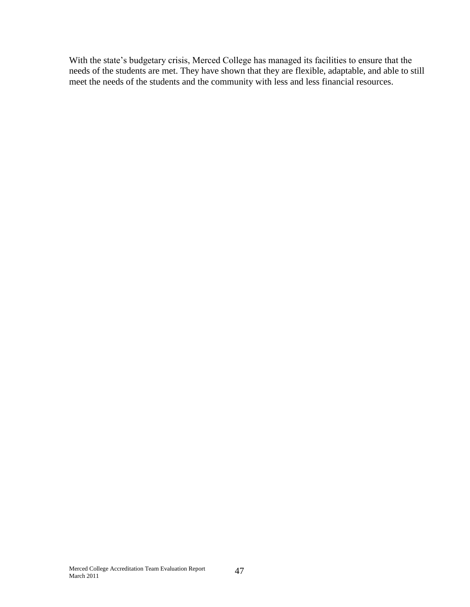With the state's budgetary crisis, Merced College has managed its facilities to ensure that the needs of the students are met. They have shown that they are flexible, adaptable, and able to still meet the needs of the students and the community with less and less financial resources.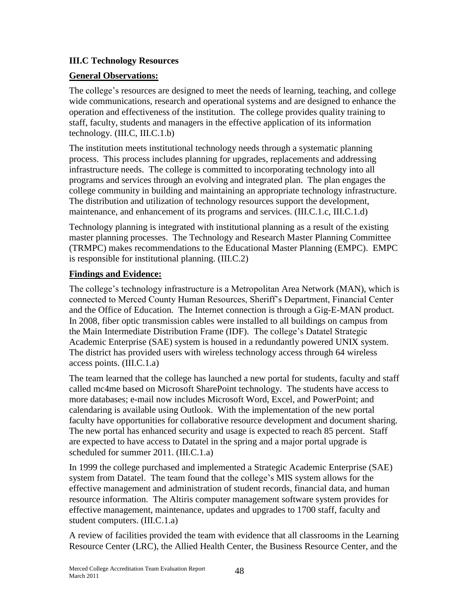#### **III.C Technology Resources**

#### **General Observations:**

The college's resources are designed to meet the needs of learning, teaching, and college wide communications, research and operational systems and are designed to enhance the operation and effectiveness of the institution. The college provides quality training to staff, faculty, students and managers in the effective application of its information technology. (III.C, III.C.1.b)

The institution meets institutional technology needs through a systematic planning process. This process includes planning for upgrades, replacements and addressing infrastructure needs. The college is committed to incorporating technology into all programs and services through an evolving and integrated plan. The plan engages the college community in building and maintaining an appropriate technology infrastructure. The distribution and utilization of technology resources support the development, maintenance, and enhancement of its programs and services. (III.C.1.c, III.C.1.d)

Technology planning is integrated with institutional planning as a result of the existing master planning processes. The Technology and Research Master Planning Committee (TRMPC) makes recommendations to the Educational Master Planning (EMPC). EMPC is responsible for institutional planning. (III.C.2)

#### **Findings and Evidence:**

The college's technology infrastructure is a Metropolitan Area Network (MAN), which is connected to Merced County Human Resources, Sheriff's Department, Financial Center and the Office of Education. The Internet connection is through a Gig-E-MAN product. In 2008, fiber optic transmission cables were installed to all buildings on campus from the Main Intermediate Distribution Frame (IDF). The college's Datatel Strategic Academic Enterprise (SAE) system is housed in a redundantly powered UNIX system. The district has provided users with wireless technology access through 64 wireless access points. (III.C.1.a)

The team learned that the college has launched a new portal for students, faculty and staff called mc4me based on Microsoft SharePoint technology. The students have access to more databases; e-mail now includes Microsoft Word, Excel, and PowerPoint; and calendaring is available using Outlook. With the implementation of the new portal faculty have opportunities for collaborative resource development and document sharing. The new portal has enhanced security and usage is expected to reach 85 percent. Staff are expected to have access to Datatel in the spring and a major portal upgrade is scheduled for summer 2011. (III.C.1.a)

In 1999 the college purchased and implemented a Strategic Academic Enterprise (SAE) system from Datatel. The team found that the college's MIS system allows for the effective management and administration of student records, financial data, and human resource information. The Altiris computer management software system provides for effective management, maintenance, updates and upgrades to 1700 staff, faculty and student computers. (III.C.1.a)

A review of facilities provided the team with evidence that all classrooms in the Learning Resource Center (LRC), the Allied Health Center, the Business Resource Center, and the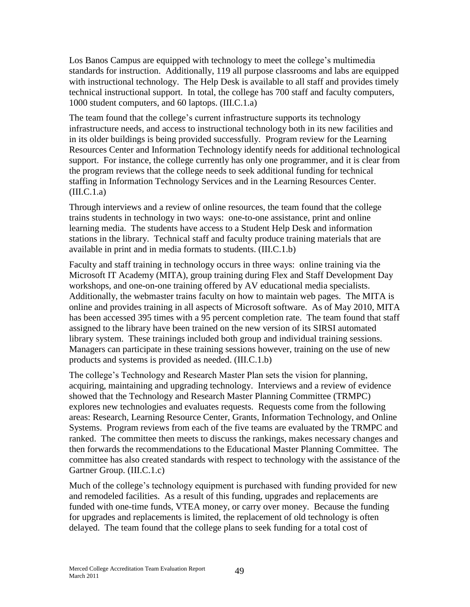Los Banos Campus are equipped with technology to meet the college's multimedia standards for instruction. Additionally, 119 all purpose classrooms and labs are equipped with instructional technology. The Help Desk is available to all staff and provides timely technical instructional support. In total, the college has 700 staff and faculty computers, 1000 student computers, and 60 laptops. (III.C.1.a)

The team found that the college's current infrastructure supports its technology infrastructure needs, and access to instructional technology both in its new facilities and in its older buildings is being provided successfully. Program review for the Learning Resources Center and Information Technology identify needs for additional technological support. For instance, the college currently has only one programmer, and it is clear from the program reviews that the college needs to seek additional funding for technical staffing in Information Technology Services and in the Learning Resources Center.  $(III.C.1.a)$ 

Through interviews and a review of online resources, the team found that the college trains students in technology in two ways: one-to-one assistance, print and online learning media. The students have access to a Student Help Desk and information stations in the library. Technical staff and faculty produce training materials that are available in print and in media formats to students. (III.C.1.b)

Faculty and staff training in technology occurs in three ways: online training via the Microsoft IT Academy (MITA), group training during Flex and Staff Development Day workshops, and one-on-one training offered by AV educational media specialists. Additionally, the webmaster trains faculty on how to maintain web pages. The MITA is online and provides training in all aspects of Microsoft software. As of May 2010, MITA has been accessed 395 times with a 95 percent completion rate. The team found that staff assigned to the library have been trained on the new version of its SIRSI automated library system. These trainings included both group and individual training sessions. Managers can participate in these training sessions however, training on the use of new products and systems is provided as needed. (III.C.1.b)

The college's Technology and Research Master Plan sets the vision for planning, acquiring, maintaining and upgrading technology. Interviews and a review of evidence showed that the Technology and Research Master Planning Committee (TRMPC) explores new technologies and evaluates requests. Requests come from the following areas: Research, Learning Resource Center, Grants, Information Technology, and Online Systems. Program reviews from each of the five teams are evaluated by the TRMPC and ranked. The committee then meets to discuss the rankings, makes necessary changes and then forwards the recommendations to the Educational Master Planning Committee. The committee has also created standards with respect to technology with the assistance of the Gartner Group. (III.C.1.c)

Much of the college's technology equipment is purchased with funding provided for new and remodeled facilities. As a result of this funding, upgrades and replacements are funded with one-time funds, VTEA money, or carry over money. Because the funding for upgrades and replacements is limited, the replacement of old technology is often delayed. The team found that the college plans to seek funding for a total cost of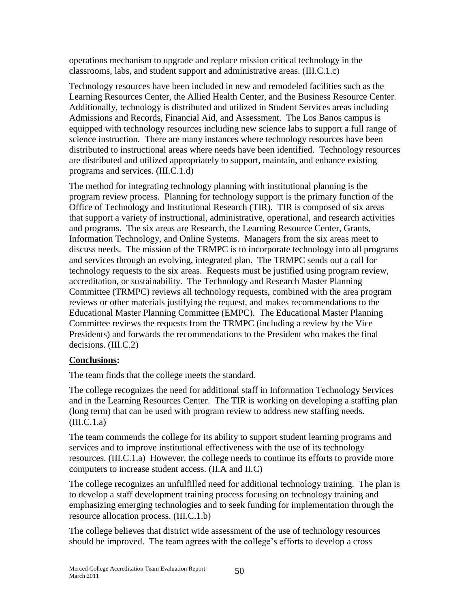operations mechanism to upgrade and replace mission critical technology in the classrooms, labs, and student support and administrative areas. (III.C.1.c)

Technology resources have been included in new and remodeled facilities such as the Learning Resources Center, the Allied Health Center, and the Business Resource Center. Additionally, technology is distributed and utilized in Student Services areas including Admissions and Records, Financial Aid, and Assessment. The Los Banos campus is equipped with technology resources including new science labs to support a full range of science instruction. There are many instances where technology resources have been distributed to instructional areas where needs have been identified. Technology resources are distributed and utilized appropriately to support, maintain, and enhance existing programs and services. (III.C.1.d)

The method for integrating technology planning with institutional planning is the program review process. Planning for technology support is the primary function of the Office of Technology and Institutional Research (TIR). TIR is composed of six areas that support a variety of instructional, administrative, operational, and research activities and programs. The six areas are Research, the Learning Resource Center, Grants, Information Technology, and Online Systems. Managers from the six areas meet to discuss needs. The mission of the TRMPC is to incorporate technology into all programs and services through an evolving, integrated plan. The TRMPC sends out a call for technology requests to the six areas. Requests must be justified using program review, accreditation, or sustainability. The Technology and Research Master Planning Committee (TRMPC) reviews all technology requests, combined with the area program reviews or other materials justifying the request, and makes recommendations to the Educational Master Planning Committee (EMPC). The Educational Master Planning Committee reviews the requests from the TRMPC (including a review by the Vice Presidents) and forwards the recommendations to the President who makes the final decisions. (III.C.2)

## **Conclusions:**

The team finds that the college meets the standard.

The college recognizes the need for additional staff in Information Technology Services and in the Learning Resources Center. The TIR is working on developing a staffing plan (long term) that can be used with program review to address new staffing needs.  $(III.C.1.a)$ 

The team commends the college for its ability to support student learning programs and services and to improve institutional effectiveness with the use of its technology resources. (III.C.1.a) However, the college needs to continue its efforts to provide more computers to increase student access. (II.A and II.C)

The college recognizes an unfulfilled need for additional technology training. The plan is to develop a staff development training process focusing on technology training and emphasizing emerging technologies and to seek funding for implementation through the resource allocation process. (III.C.1.b)

The college believes that district wide assessment of the use of technology resources should be improved. The team agrees with the college's efforts to develop a cross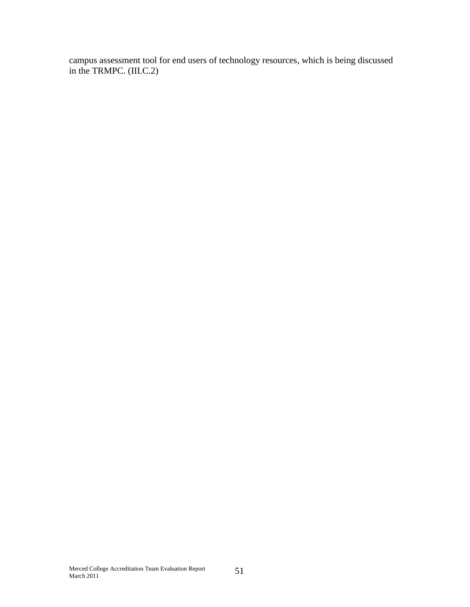campus assessment tool for end users of technology resources, which is being discussed in the TRMPC. (III.C.2)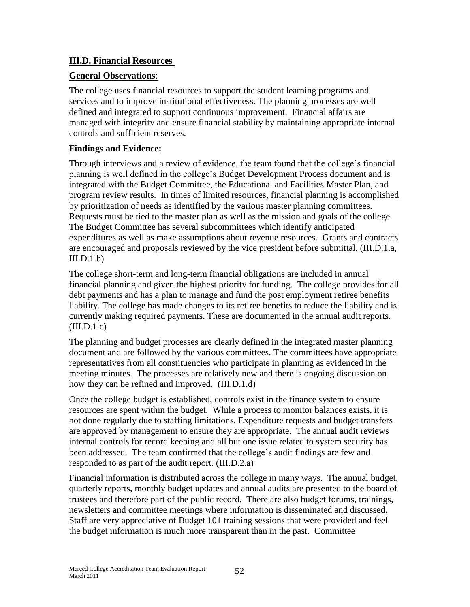#### **III.D. Financial Resources**

#### **General Observations**:

The college uses financial resources to support the student learning programs and services and to improve institutional effectiveness. The planning processes are well defined and integrated to support continuous improvement. Financial affairs are managed with integrity and ensure financial stability by maintaining appropriate internal controls and sufficient reserves.

#### **Findings and Evidence:**

Through interviews and a review of evidence, the team found that the college's financial planning is well defined in the college's Budget Development Process document and is integrated with the Budget Committee, the Educational and Facilities Master Plan, and program review results. In times of limited resources, financial planning is accomplished by prioritization of needs as identified by the various master planning committees. Requests must be tied to the master plan as well as the mission and goals of the college. The Budget Committee has several subcommittees which identify anticipated expenditures as well as make assumptions about revenue resources. Grants and contracts are encouraged and proposals reviewed by the vice president before submittal. (III.D.1.a,  $III.D.1.b$ 

The college short-term and long-term financial obligations are included in annual financial planning and given the highest priority for funding. The college provides for all debt payments and has a plan to manage and fund the post employment retiree benefits liability. The college has made changes to its retiree benefits to reduce the liability and is currently making required payments. These are documented in the annual audit reports.  $(III.D.1.c)$ 

The planning and budget processes are clearly defined in the integrated master planning document and are followed by the various committees. The committees have appropriate representatives from all constituencies who participate in planning as evidenced in the meeting minutes. The processes are relatively new and there is ongoing discussion on how they can be refined and improved. (III.D.1.d)

Once the college budget is established, controls exist in the finance system to ensure resources are spent within the budget. While a process to monitor balances exists, it is not done regularly due to staffing limitations. Expenditure requests and budget transfers are approved by management to ensure they are appropriate. The annual audit reviews internal controls for record keeping and all but one issue related to system security has been addressed. The team confirmed that the college's audit findings are few and responded to as part of the audit report. (III.D.2.a)

Financial information is distributed across the college in many ways. The annual budget, quarterly reports, monthly budget updates and annual audits are presented to the board of trustees and therefore part of the public record. There are also budget forums, trainings, newsletters and committee meetings where information is disseminated and discussed. Staff are very appreciative of Budget 101 training sessions that were provided and feel the budget information is much more transparent than in the past. Committee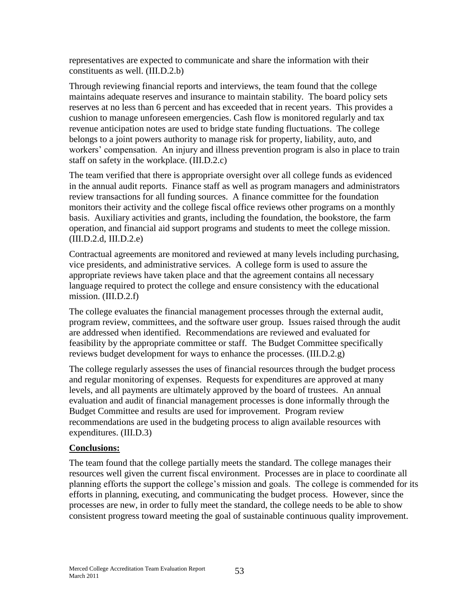representatives are expected to communicate and share the information with their constituents as well. (III.D.2.b)

Through reviewing financial reports and interviews, the team found that the college maintains adequate reserves and insurance to maintain stability. The board policy sets reserves at no less than 6 percent and has exceeded that in recent years. This provides a cushion to manage unforeseen emergencies. Cash flow is monitored regularly and tax revenue anticipation notes are used to bridge state funding fluctuations. The college belongs to a joint powers authority to manage risk for property, liability, auto, and workers' compensation. An injury and illness prevention program is also in place to train staff on safety in the workplace. (III.D.2.c)

The team verified that there is appropriate oversight over all college funds as evidenced in the annual audit reports. Finance staff as well as program managers and administrators review transactions for all funding sources. A finance committee for the foundation monitors their activity and the college fiscal office reviews other programs on a monthly basis. Auxiliary activities and grants, including the foundation, the bookstore, the farm operation, and financial aid support programs and students to meet the college mission. (III.D.2.d, III.D.2.e)

Contractual agreements are monitored and reviewed at many levels including purchasing, vice presidents, and administrative services. A college form is used to assure the appropriate reviews have taken place and that the agreement contains all necessary language required to protect the college and ensure consistency with the educational mission. (III.D.2.f)

The college evaluates the financial management processes through the external audit, program review, committees, and the software user group. Issues raised through the audit are addressed when identified. Recommendations are reviewed and evaluated for feasibility by the appropriate committee or staff. The Budget Committee specifically reviews budget development for ways to enhance the processes. (III.D.2.g)

The college regularly assesses the uses of financial resources through the budget process and regular monitoring of expenses. Requests for expenditures are approved at many levels, and all payments are ultimately approved by the board of trustees. An annual evaluation and audit of financial management processes is done informally through the Budget Committee and results are used for improvement. Program review recommendations are used in the budgeting process to align available resources with expenditures. (III.D.3)

#### **Conclusions:**

The team found that the college partially meets the standard. The college manages their resources well given the current fiscal environment. Processes are in place to coordinate all planning efforts the support the college's mission and goals. The college is commended for its efforts in planning, executing, and communicating the budget process. However, since the processes are new, in order to fully meet the standard, the college needs to be able to show consistent progress toward meeting the goal of sustainable continuous quality improvement.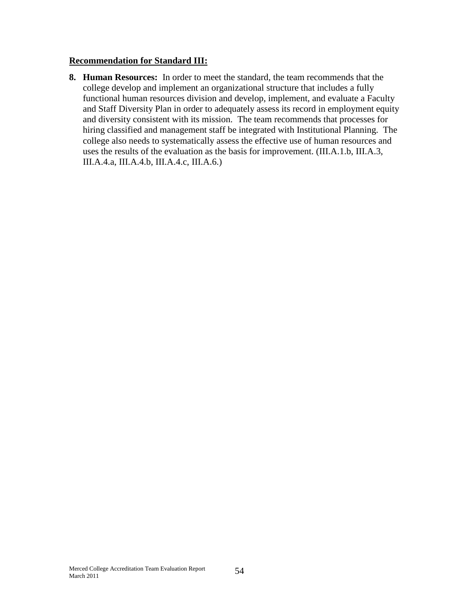#### **Recommendation for Standard III:**

**8. Human Resources:** In order to meet the standard, the team recommends that the college develop and implement an organizational structure that includes a fully functional human resources division and develop, implement, and evaluate a Faculty and Staff Diversity Plan in order to adequately assess its record in employment equity and diversity consistent with its mission. The team recommends that processes for hiring classified and management staff be integrated with Institutional Planning. The college also needs to systematically assess the effective use of human resources and uses the results of the evaluation as the basis for improvement. (III.A.1.b, III.A.3, III.A.4.a, III.A.4.b, III.A.4.c, III.A.6.)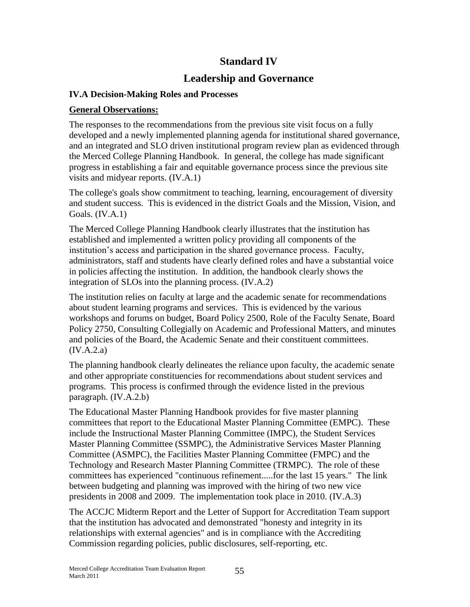# **Standard IV**

## **Leadership and Governance**

#### **IV.A Decision-Making Roles and Processes**

#### **General Observations:**

The responses to the recommendations from the previous site visit focus on a fully developed and a newly implemented planning agenda for institutional shared governance, and an integrated and SLO driven institutional program review plan as evidenced through the Merced College Planning Handbook. In general, the college has made significant progress in establishing a fair and equitable governance process since the previous site visits and midyear reports. (IV.A.1)

The college's goals show commitment to teaching, learning, encouragement of diversity and student success. This is evidenced in the district Goals and the Mission, Vision, and Goals. (IV.A.1)

The Merced College Planning Handbook clearly illustrates that the institution has established and implemented a written policy providing all components of the institution's access and participation in the shared governance process. Faculty, administrators, staff and students have clearly defined roles and have a substantial voice in policies affecting the institution. In addition, the handbook clearly shows the integration of SLOs into the planning process. (IV.A.2)

The institution relies on faculty at large and the academic senate for recommendations about student learning programs and services. This is evidenced by the various workshops and forums on budget, Board Policy 2500, Role of the Faculty Senate, Board Policy 2750, Consulting Collegially on Academic and Professional Matters, and minutes and policies of the Board, the Academic Senate and their constituent committees. (IV.A.2.a)

The planning handbook clearly delineates the reliance upon faculty, the academic senate and other appropriate constituencies for recommendations about student services and programs. This process is confirmed through the evidence listed in the previous paragraph. (IV.A.2.b)

The Educational Master Planning Handbook provides for five master planning committees that report to the Educational Master Planning Committee (EMPC). These include the Instructional Master Planning Committee (IMPC), the Student Services Master Planning Committee (SSMPC), the Administrative Services Master Planning Committee (ASMPC), the Facilities Master Planning Committee (FMPC) and the Technology and Research Master Planning Committee (TRMPC). The role of these committees has experienced "continuous refinement.....for the last 15 years." The link between budgeting and planning was improved with the hiring of two new vice presidents in 2008 and 2009. The implementation took place in 2010. (IV.A.3)

The ACCJC Midterm Report and the Letter of Support for Accreditation Team support that the institution has advocated and demonstrated "honesty and integrity in its relationships with external agencies" and is in compliance with the Accrediting Commission regarding policies, public disclosures, self-reporting, etc.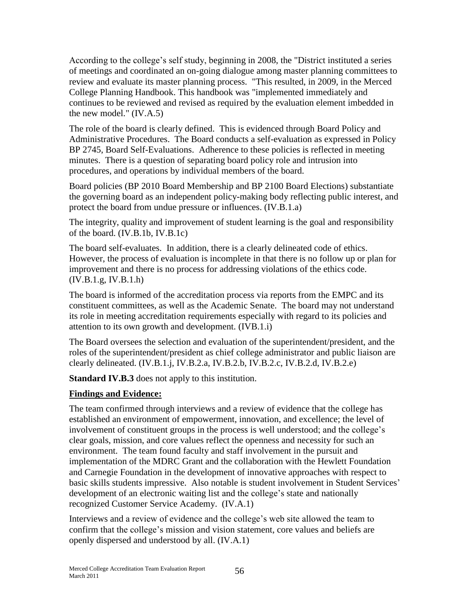According to the college's self study, beginning in 2008, the "District instituted a series of meetings and coordinated an on-going dialogue among master planning committees to review and evaluate its master planning process. "This resulted, in 2009, in the Merced College Planning Handbook. This handbook was "implemented immediately and continues to be reviewed and revised as required by the evaluation element imbedded in the new model." (IV.A.5)

The role of the board is clearly defined. This is evidenced through Board Policy and Administrative Procedures. The Board conducts a self-evaluation as expressed in Policy BP 2745, Board Self-Evaluations. Adherence to these policies is reflected in meeting minutes. There is a question of separating board policy role and intrusion into procedures, and operations by individual members of the board.

Board policies (BP 2010 Board Membership and BP 2100 Board Elections) substantiate the governing board as an independent policy-making body reflecting public interest, and protect the board from undue pressure or influences. (IV.B.1.a)

The integrity, quality and improvement of student learning is the goal and responsibility of the board. (IV.B.1b, IV.B.1c)

The board self-evaluates. In addition, there is a clearly delineated code of ethics. However, the process of evaluation is incomplete in that there is no follow up or plan for improvement and there is no process for addressing violations of the ethics code. (IV.B.1.g, IV.B.1.h)

The board is informed of the accreditation process via reports from the EMPC and its constituent committees, as well as the Academic Senate. The board may not understand its role in meeting accreditation requirements especially with regard to its policies and attention to its own growth and development. (IVB.1.i)

The Board oversees the selection and evaluation of the superintendent/president, and the roles of the superintendent/president as chief college administrator and public liaison are clearly delineated. (IV.B.1.j, IV.B.2.a, IV.B.2.b, IV.B.2.c, IV.B.2.d, IV.B.2.e)

**Standard IV.B.3** does not apply to this institution.

#### **Findings and Evidence:**

The team confirmed through interviews and a review of evidence that the college has established an environment of empowerment, innovation, and excellence; the level of involvement of constituent groups in the process is well understood; and the college's clear goals, mission, and core values reflect the openness and necessity for such an environment. The team found faculty and staff involvement in the pursuit and implementation of the MDRC Grant and the collaboration with the Hewlett Foundation and Carnegie Foundation in the development of innovative approaches with respect to basic skills students impressive. Also notable is student involvement in Student Services' development of an electronic waiting list and the college's state and nationally recognized Customer Service Academy. (IV.A.1)

Interviews and a review of evidence and the college's web site allowed the team to confirm that the college's mission and vision statement, core values and beliefs are openly dispersed and understood by all. (IV.A.1)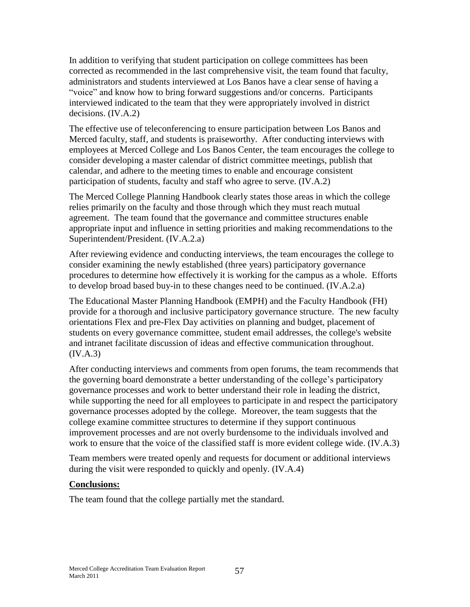In addition to verifying that student participation on college committees has been corrected as recommended in the last comprehensive visit, the team found that faculty, administrators and students interviewed at Los Banos have a clear sense of having a "voice" and know how to bring forward suggestions and/or concerns. Participants interviewed indicated to the team that they were appropriately involved in district decisions. (IV.A.2)

The effective use of teleconferencing to ensure participation between Los Banos and Merced faculty, staff, and students is praiseworthy. After conducting interviews with employees at Merced College and Los Banos Center, the team encourages the college to consider developing a master calendar of district committee meetings, publish that calendar, and adhere to the meeting times to enable and encourage consistent participation of students, faculty and staff who agree to serve. (IV.A.2)

The Merced College Planning Handbook clearly states those areas in which the college relies primarily on the faculty and those through which they must reach mutual agreement. The team found that the governance and committee structures enable appropriate input and influence in setting priorities and making recommendations to the Superintendent/President. (IV.A.2.a)

After reviewing evidence and conducting interviews, the team encourages the college to consider examining the newly established (three years) participatory governance procedures to determine how effectively it is working for the campus as a whole. Efforts to develop broad based buy-in to these changes need to be continued. (IV.A.2.a)

The Educational Master Planning Handbook (EMPH) and the Faculty Handbook (FH) provide for a thorough and inclusive participatory governance structure. The new faculty orientations Flex and pre-Flex Day activities on planning and budget, placement of students on every governance committee, student email addresses, the college's website and intranet facilitate discussion of ideas and effective communication throughout. (IV.A.3)

After conducting interviews and comments from open forums, the team recommends that the governing board demonstrate a better understanding of the college's participatory governance processes and work to better understand their role in leading the district, while supporting the need for all employees to participate in and respect the participatory governance processes adopted by the college. Moreover, the team suggests that the college examine committee structures to determine if they support continuous improvement processes and are not overly burdensome to the individuals involved and work to ensure that the voice of the classified staff is more evident college wide. (IV.A.3)

Team members were treated openly and requests for document or additional interviews during the visit were responded to quickly and openly. (IV.A.4)

#### **Conclusions:**

The team found that the college partially met the standard.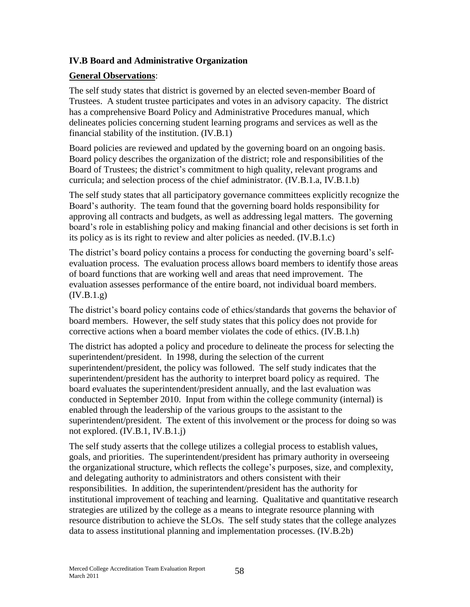#### **IV.B Board and Administrative Organization**

#### **General Observations**:

The self study states that district is governed by an elected seven-member Board of Trustees. A student trustee participates and votes in an advisory capacity. The district has a comprehensive Board Policy and Administrative Procedures manual, which delineates policies concerning student learning programs and services as well as the financial stability of the institution. (IV.B.1)

Board policies are reviewed and updated by the governing board on an ongoing basis. Board policy describes the organization of the district; role and responsibilities of the Board of Trustees; the district's commitment to high quality, relevant programs and curricula; and selection process of the chief administrator. (IV.B.1.a, IV.B.1.b)

The self study states that all participatory governance committees explicitly recognize the Board's authority. The team found that the governing board holds responsibility for approving all contracts and budgets, as well as addressing legal matters. The governing board's role in establishing policy and making financial and other decisions is set forth in its policy as is its right to review and alter policies as needed. (IV.B.1.c)

The district's board policy contains a process for conducting the governing board's selfevaluation process. The evaluation process allows board members to identify those areas of board functions that are working well and areas that need improvement. The evaluation assesses performance of the entire board, not individual board members.  $(IV.B.1.g)$ 

The district's board policy contains code of ethics/standards that governs the behavior of board members. However, the self study states that this policy does not provide for corrective actions when a board member violates the code of ethics. (IV.B.1.h)

The district has adopted a policy and procedure to delineate the process for selecting the superintendent/president. In 1998, during the selection of the current superintendent/president, the policy was followed. The self study indicates that the superintendent/president has the authority to interpret board policy as required. The board evaluates the superintendent/president annually, and the last evaluation was conducted in September 2010. Input from within the college community (internal) is enabled through the leadership of the various groups to the assistant to the superintendent/president. The extent of this involvement or the process for doing so was not explored. (IV.B.1, IV.B.1.j)

The self study asserts that the college utilizes a collegial process to establish values, goals, and priorities. The superintendent/president has primary authority in overseeing the organizational structure, which reflects the college's purposes, size, and complexity, and delegating authority to administrators and others consistent with their responsibilities. In addition, the superintendent/president has the authority for institutional improvement of teaching and learning. Qualitative and quantitative research strategies are utilized by the college as a means to integrate resource planning with resource distribution to achieve the SLOs. The self study states that the college analyzes data to assess institutional planning and implementation processes. (IV.B.2b)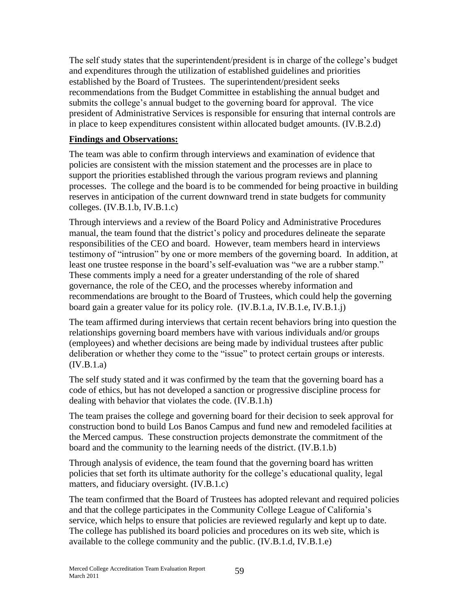The self study states that the superintendent/president is in charge of the college's budget and expenditures through the utilization of established guidelines and priorities established by the Board of Trustees. The superintendent/president seeks recommendations from the Budget Committee in establishing the annual budget and submits the college's annual budget to the governing board for approval. The vice president of Administrative Services is responsible for ensuring that internal controls are in place to keep expenditures consistent within allocated budget amounts. (IV.B.2.d)

#### **Findings and Observations:**

The team was able to confirm through interviews and examination of evidence that policies are consistent with the mission statement and the processes are in place to support the priorities established through the various program reviews and planning processes. The college and the board is to be commended for being proactive in building reserves in anticipation of the current downward trend in state budgets for community colleges. (IV.B.1.b, IV.B.1.c)

Through interviews and a review of the Board Policy and Administrative Procedures manual, the team found that the district's policy and procedures delineate the separate responsibilities of the CEO and board. However, team members heard in interviews testimony of "intrusion" by one or more members of the governing board. In addition, at least one trustee response in the board's self-evaluation was "we are a rubber stamp." These comments imply a need for a greater understanding of the role of shared governance, the role of the CEO, and the processes whereby information and recommendations are brought to the Board of Trustees, which could help the governing board gain a greater value for its policy role. (IV.B.1.a, IV.B.1.e, IV.B.1.j)

The team affirmed during interviews that certain recent behaviors bring into question the relationships governing board members have with various individuals and/or groups (employees) and whether decisions are being made by individual trustees after public deliberation or whether they come to the "issue" to protect certain groups or interests.  $(IV.B.1.a)$ 

The self study stated and it was confirmed by the team that the governing board has a code of ethics, but has not developed a sanction or progressive discipline process for dealing with behavior that violates the code. (IV.B.1.h)

The team praises the college and governing board for their decision to seek approval for construction bond to build Los Banos Campus and fund new and remodeled facilities at the Merced campus. These construction projects demonstrate the commitment of the board and the community to the learning needs of the district. (IV.B.1.b)

Through analysis of evidence, the team found that the governing board has written policies that set forth its ultimate authority for the college's educational quality, legal matters, and fiduciary oversight. (IV.B.1.c)

The team confirmed that the Board of Trustees has adopted relevant and required policies and that the college participates in the Community College League of California's service, which helps to ensure that policies are reviewed regularly and kept up to date. The college has published its board policies and procedures on its web site, which is available to the college community and the public. (IV.B.1.d, IV.B.1.e)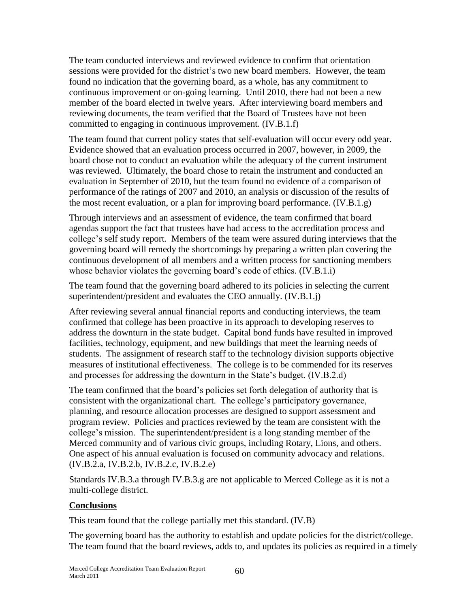The team conducted interviews and reviewed evidence to confirm that orientation sessions were provided for the district's two new board members. However, the team found no indication that the governing board, as a whole, has any commitment to continuous improvement or on-going learning. Until 2010, there had not been a new member of the board elected in twelve years. After interviewing board members and reviewing documents, the team verified that the Board of Trustees have not been committed to engaging in continuous improvement. (IV.B.1.f)

The team found that current policy states that self-evaluation will occur every odd year. Evidence showed that an evaluation process occurred in 2007, however, in 2009, the board chose not to conduct an evaluation while the adequacy of the current instrument was reviewed. Ultimately, the board chose to retain the instrument and conducted an evaluation in September of 2010, but the team found no evidence of a comparison of performance of the ratings of 2007 and 2010, an analysis or discussion of the results of the most recent evaluation, or a plan for improving board performance. (IV.B.1.g)

Through interviews and an assessment of evidence, the team confirmed that board agendas support the fact that trustees have had access to the accreditation process and college's self study report. Members of the team were assured during interviews that the governing board will remedy the shortcomings by preparing a written plan covering the continuous development of all members and a written process for sanctioning members whose behavior violates the governing board's code of ethics. (IV.B.1.i)

The team found that the governing board adhered to its policies in selecting the current superintendent/president and evaluates the CEO annually. (IV.B.1.j)

After reviewing several annual financial reports and conducting interviews, the team confirmed that college has been proactive in its approach to developing reserves to address the downturn in the state budget. Capital bond funds have resulted in improved facilities, technology, equipment, and new buildings that meet the learning needs of students. The assignment of research staff to the technology division supports objective measures of institutional effectiveness. The college is to be commended for its reserves and processes for addressing the downturn in the State's budget. (IV.B.2.d)

The team confirmed that the board's policies set forth delegation of authority that is consistent with the organizational chart. The college's participatory governance, planning, and resource allocation processes are designed to support assessment and program review. Policies and practices reviewed by the team are consistent with the college's mission. The superintendent/president is a long standing member of the Merced community and of various civic groups, including Rotary, Lions, and others. One aspect of his annual evaluation is focused on community advocacy and relations. (IV.B.2.a, IV.B.2.b, IV.B.2.c, IV.B.2.e)

Standards IV.B.3.a through IV.B.3.g are not applicable to Merced College as it is not a multi-college district.

#### **Conclusions**

This team found that the college partially met this standard. (IV.B)

The governing board has the authority to establish and update policies for the district/college. The team found that the board reviews, adds to, and updates its policies as required in a timely